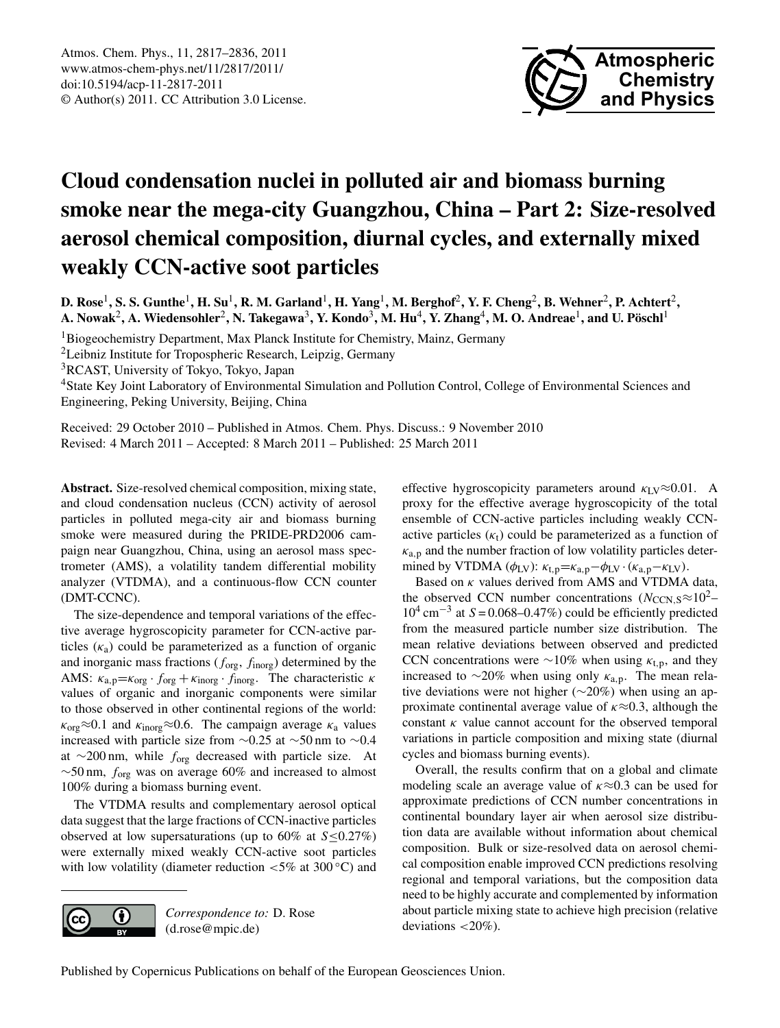

# **Cloud condensation nuclei in polluted air and biomass burning smoke near the mega-city Guangzhou, China – Part 2: Size-resolved aerosol chemical composition, diurnal cycles, and externally mixed weakly CCN-active soot particles**

 ${\bf D.}$  Rose<sup>1</sup>, S. S. Gunthe<sup>1</sup>, H. Su<sup>1</sup>, R. M. Garland<sup>1</sup>, H. Yang<sup>1</sup>, M. Berghof<sup>2</sup>, Y. F. Cheng<sup>2</sup>, B. Wehner<sup>2</sup>, P. Achtert<sup>2</sup>,  ${\bf A.}$  Nowak $^2$ ,  ${\bf A.}$  Wiedensohler $^2$ ,  ${\bf N.}$  Takegawa $^3$ ,  ${\bf Y.}$  Kondo $^3$ ,  ${\bf M.}$  Hu $^4$ ,  ${\bf Y.}$  Zhang $^4$ ,  ${\bf M.}$   ${\bf O.}$  Andreae $^1$ , and U. Pöschl $^1$ 

<sup>1</sup>Biogeochemistry Department, Max Planck Institute for Chemistry, Mainz, Germany

<sup>2</sup>Leibniz Institute for Tropospheric Research, Leipzig, Germany

<sup>3</sup>RCAST, University of Tokyo, Tokyo, Japan

<sup>4</sup>State Key Joint Laboratory of Environmental Simulation and Pollution Control, College of Environmental Sciences and Engineering, Peking University, Beijing, China

Received: 29 October 2010 – Published in Atmos. Chem. Phys. Discuss.: 9 November 2010 Revised: 4 March 2011 – Accepted: 8 March 2011 – Published: 25 March 2011

**Abstract.** Size-resolved chemical composition, mixing state, and cloud condensation nucleus (CCN) activity of aerosol particles in polluted mega-city air and biomass burning smoke were measured during the PRIDE-PRD2006 campaign near Guangzhou, China, using an aerosol mass spectrometer (AMS), a volatility tandem differential mobility analyzer (VTDMA), and a continuous-flow CCN counter (DMT-CCNC).

The size-dependence and temporal variations of the effective average hygroscopicity parameter for CCN-active particles  $(\kappa_a)$  could be parameterized as a function of organic and inorganic mass fractions ( $f_{org}$ ,  $f_{inorg}$ ) determined by the AMS:  $\kappa_{a,p} = \kappa_{org} \cdot f_{org} + \kappa_{inorg} \cdot f_{inorg}$ . The characteristic  $\kappa$ values of organic and inorganic components were similar to those observed in other continental regions of the world:  $\kappa_{\text{org}} \approx 0.1$  and  $\kappa_{\text{inorg}} \approx 0.6$ . The campaign average  $\kappa_a$  values increased with particle size from ∼0.25 at ∼50 nm to ∼0.4 at  $\sim$ 200 nm, while  $f_{org}$  decreased with particle size. At  $\sim$ 50 nm,  $f_{\text{org}}$  was on average 60% and increased to almost 100% during a biomass burning event.

The VTDMA results and complementary aerosol optical data suggest that the large fractions of CCN-inactive particles observed at low supersaturations (up to 60% at  $S \le 0.27\%$ ) were externally mixed weakly CCN-active soot particles with low volatility (diameter reduction  $\lt 5\%$  at 300 °C) and



*Correspondence to:* D. Rose (d.rose@mpic.de)

effective hygroscopicity parameters around  $\kappa_{\rm LV} \approx 0.01$ . A proxy for the effective average hygroscopicity of the total ensemble of CCN-active particles including weakly CCNactive particles  $(\kappa_t)$  could be parameterized as a function of  $\kappa_{a,p}$  and the number fraction of low volatility particles determined by VTDMA ( $\phi_{LV}$ ):  $\kappa_{t,p} = \kappa_{a,p} - \phi_{LV} \cdot (\kappa_{a,p} - \kappa_{LV})$ .

Based on  $\kappa$  values derived from AMS and VTDMA data, the observed CCN number concentrations  $(N_{\text{CCN}} S \approx 10^2 10^4$  cm<sup>-3</sup> at  $S = 0.068 - 0.47\%$ ) could be efficiently predicted from the measured particle number size distribution. The mean relative deviations between observed and predicted CCN concentrations were ∼10% when using  $\kappa_{t,p}$ , and they increased to  $\sim$ 20% when using only  $\kappa_{a,p}$ . The mean relative deviations were not higher (∼20%) when using an approximate continental average value of  $\kappa \approx 0.3$ , although the constant  $\kappa$  value cannot account for the observed temporal variations in particle composition and mixing state (diurnal cycles and biomass burning events).

Overall, the results confirm that on a global and climate modeling scale an average value of  $\kappa \approx 0.3$  can be used for approximate predictions of CCN number concentrations in continental boundary layer air when aerosol size distribution data are available without information about chemical composition. Bulk or size-resolved data on aerosol chemical composition enable improved CCN predictions resolving regional and temporal variations, but the composition data need to be highly accurate and complemented by information about particle mixing state to achieve high precision (relative deviations <20%).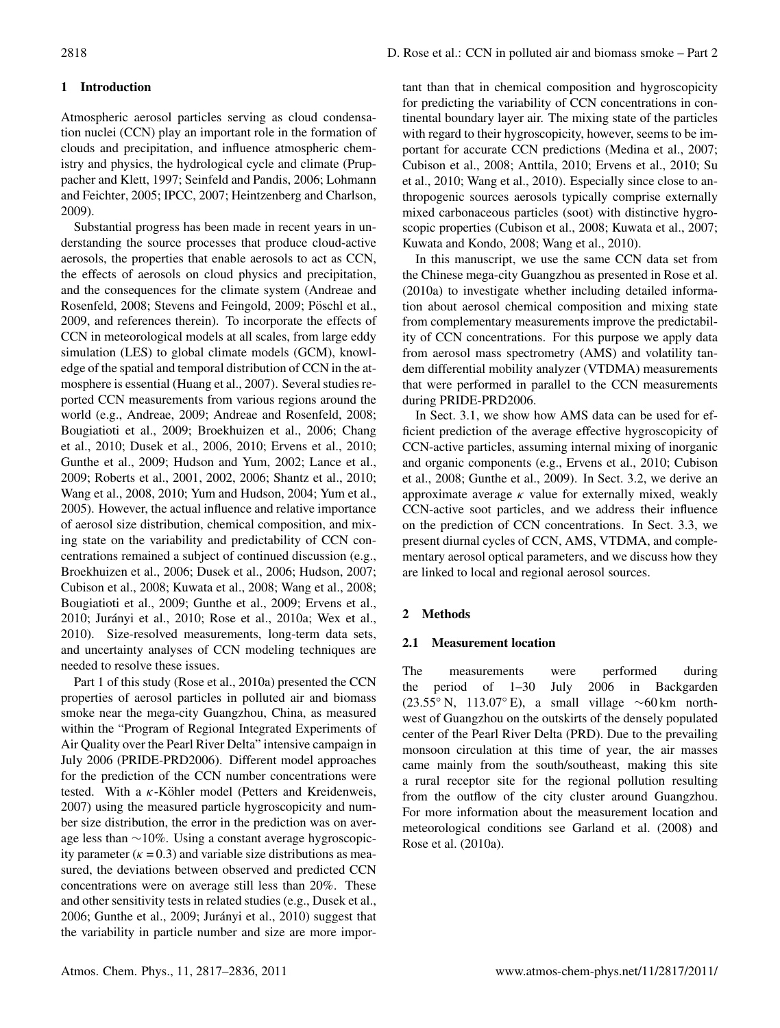# **1 Introduction**

Atmospheric aerosol particles serving as cloud condensation nuclei (CCN) play an important role in the formation of clouds and precipitation, and influence atmospheric chemistry and physics, the hydrological cycle and climate (Pruppacher and Klett, 1997; Seinfeld and Pandis, 2006; Lohmann and Feichter, 2005; IPCC, 2007; Heintzenberg and Charlson, 2009).

Substantial progress has been made in recent years in understanding the source processes that produce cloud-active aerosols, the properties that enable aerosols to act as CCN, the effects of aerosols on cloud physics and precipitation, and the consequences for the climate system (Andreae and Rosenfeld, 2008; Stevens and Feingold, 2009; Pöschl et al., 2009, and references therein). To incorporate the effects of CCN in meteorological models at all scales, from large eddy simulation (LES) to global climate models (GCM), knowledge of the spatial and temporal distribution of CCN in the atmosphere is essential (Huang et al., 2007). Several studies reported CCN measurements from various regions around the world (e.g., Andreae, 2009; Andreae and Rosenfeld, 2008; Bougiatioti et al., 2009; Broekhuizen et al., 2006; Chang et al., 2010; Dusek et al., 2006, 2010; Ervens et al., 2010; Gunthe et al., 2009; Hudson and Yum, 2002; Lance et al., 2009; Roberts et al., 2001, 2002, 2006; Shantz et al., 2010; Wang et al., 2008, 2010; Yum and Hudson, 2004; Yum et al., 2005). However, the actual influence and relative importance of aerosol size distribution, chemical composition, and mixing state on the variability and predictability of CCN concentrations remained a subject of continued discussion (e.g., Broekhuizen et al., 2006; Dusek et al., 2006; Hudson, 2007; Cubison et al., 2008; Kuwata et al., 2008; Wang et al., 2008; Bougiatioti et al., 2009; Gunthe et al., 2009; Ervens et al., 2010; Juranyi et al., 2010; Rose et al., 2010a; Wex et al., ´ 2010). Size-resolved measurements, long-term data sets, and uncertainty analyses of CCN modeling techniques are needed to resolve these issues.

Part 1 of this study (Rose et al., 2010a) presented the CCN properties of aerosol particles in polluted air and biomass smoke near the mega-city Guangzhou, China, as measured within the "Program of Regional Integrated Experiments of Air Quality over the Pearl River Delta" intensive campaign in July 2006 (PRIDE-PRD2006). Different model approaches for the prediction of the CCN number concentrations were tested. With a  $\kappa$ -Köhler model (Petters and Kreidenweis, 2007) using the measured particle hygroscopicity and number size distribution, the error in the prediction was on average less than ∼10%. Using a constant average hygroscopicity parameter ( $\kappa = 0.3$ ) and variable size distributions as measured, the deviations between observed and predicted CCN concentrations were on average still less than 20%. These and other sensitivity tests in related studies (e.g., Dusek et al.,  $2006$ ; Gunthe et al.,  $2009$ ; Jurányi et al.,  $2010$ ) suggest that the variability in particle number and size are more important than that in chemical composition and hygroscopicity for predicting the variability of CCN concentrations in continental boundary layer air. The mixing state of the particles with regard to their hygroscopicity, however, seems to be important for accurate CCN predictions (Medina et al., 2007; Cubison et al., 2008; Anttila, 2010; Ervens et al., 2010; Su et al., 2010; Wang et al., 2010). Especially since close to anthropogenic sources aerosols typically comprise externally mixed carbonaceous particles (soot) with distinctive hygroscopic properties (Cubison et al., 2008; Kuwata et al., 2007; Kuwata and Kondo, 2008; Wang et al., 2010).

In this manuscript, we use the same CCN data set from the Chinese mega-city Guangzhou as presented in Rose et al. (2010a) to investigate whether including detailed information about aerosol chemical composition and mixing state from complementary measurements improve the predictability of CCN concentrations. For this purpose we apply data from aerosol mass spectrometry (AMS) and volatility tandem differential mobility analyzer (VTDMA) measurements that were performed in parallel to the CCN measurements during PRIDE-PRD2006.

In Sect. 3.1, we show how AMS data can be used for efficient prediction of the average effective hygroscopicity of CCN-active particles, assuming internal mixing of inorganic and organic components (e.g., Ervens et al., 2010; Cubison et al., 2008; Gunthe et al., 2009). In Sect. 3.2, we derive an approximate average  $\kappa$  value for externally mixed, weakly CCN-active soot particles, and we address their influence on the prediction of CCN concentrations. In Sect. 3.3, we present diurnal cycles of CCN, AMS, VTDMA, and complementary aerosol optical parameters, and we discuss how they are linked to local and regional aerosol sources.

# **2 Methods**

## **2.1 Measurement location**

The measurements were performed during the period of 1–30 July 2006 in Backgarden (23.55◦ N, 113.07◦ E), a small village ∼60 km northwest of Guangzhou on the outskirts of the densely populated center of the Pearl River Delta (PRD). Due to the prevailing monsoon circulation at this time of year, the air masses came mainly from the south/southeast, making this site a rural receptor site for the regional pollution resulting from the outflow of the city cluster around Guangzhou. For more information about the measurement location and meteorological conditions see Garland et al. (2008) and Rose et al. (2010a).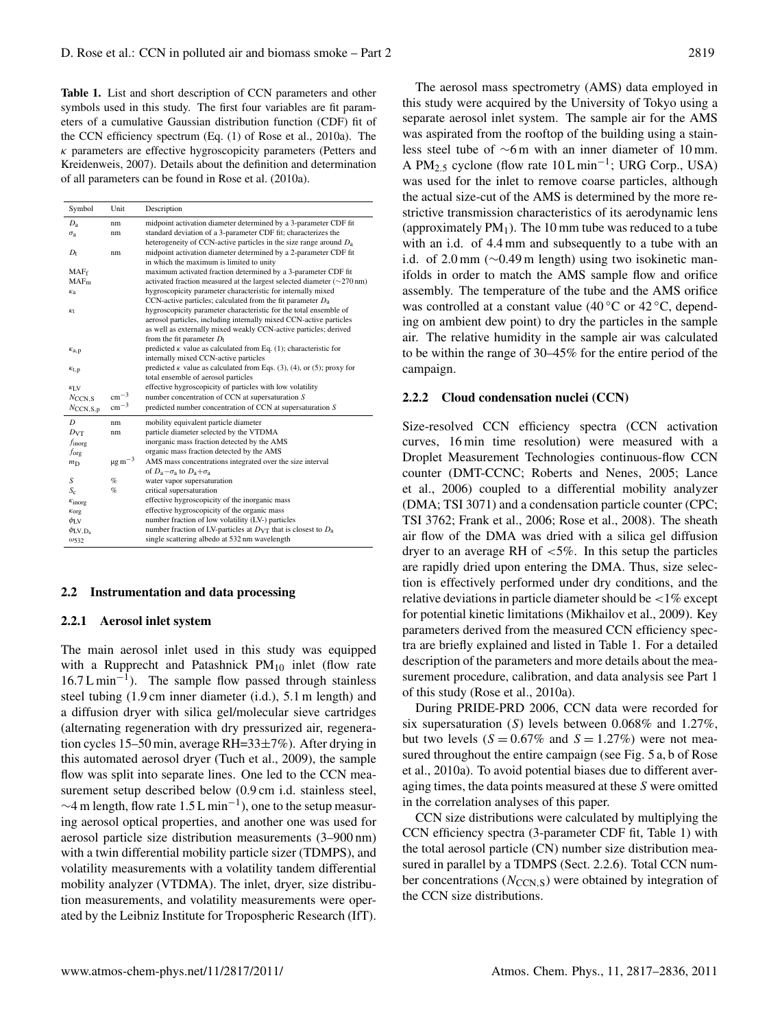**Table 1.** List and short description of CCN parameters and other symbols used in this study. The first four variables are fit parameters of a cumulative Gaussian distribution function (CDF) fit of the CCN efficiency spectrum (Eq. (1) of Rose et al., 2010a). The  $\kappa$  parameters are effective hygroscopicity parameters (Petters and Kreidenweis, 2007). Details about the definition and determination of all parameters can be found in Rose et al. (2010a).

| Symbol                        | Unit              | Description                                                                                                                                                                                                                                 |
|-------------------------------|-------------------|---------------------------------------------------------------------------------------------------------------------------------------------------------------------------------------------------------------------------------------------|
| $D_{a}$                       | nm                | midpoint activation diameter determined by a 3-parameter CDF fit                                                                                                                                                                            |
| $\sigma_{\rm a}$              | nm                | standard deviation of a 3-parameter CDF fit; characterizes the                                                                                                                                                                              |
| $D_{t}$                       | nm                | heterogeneity of CCN-active particles in the size range around $Da$<br>midpoint activation diameter determined by a 2-parameter CDF fit<br>in which the maximum is limited to unity                                                         |
| $MAF_f$                       |                   | maximum activated fraction determined by a 3-parameter CDF fit                                                                                                                                                                              |
| MAF <sub>m</sub>              |                   | activated fraction measured at the largest selected diameter $(\sim 270 \text{ nm})$                                                                                                                                                        |
| $K_{2}$                       |                   | hygroscopicity parameter characteristic for internally mixed<br>CCN-active particles; calculated from the fit parameter $D_a$                                                                                                               |
| Kt                            |                   | hygroscopicity parameter characteristic for the total ensemble of<br>aerosol particles, including internally mixed CCN-active particles<br>as well as externally mixed weakly CCN-active particles; derived<br>from the fit parameter $D_t$ |
| $\kappa_{\rm a,p}$            |                   | predicted $\kappa$ value as calculated from Eq. (1); characteristic for<br>internally mixed CCN-active particles                                                                                                                            |
| $\kappa_{\rm t,p}$            |                   | predicted $\kappa$ value as calculated from Eqs. (3), (4), or (5); proxy for<br>total ensemble of aerosol particles                                                                                                                         |
| $k_{\rm LV}$                  |                   | effective hygroscopicity of particles with low volatility                                                                                                                                                                                   |
| $N_{\text{CCN.S}}$            | $cm-3$            | number concentration of CCN at supersaturation S                                                                                                                                                                                            |
| $N_{\text{CCN},S,p}$          | $cm-3$            | predicted number concentration of CCN at supersaturation S                                                                                                                                                                                  |
| D                             | nm                | mobility equivalent particle diameter                                                                                                                                                                                                       |
| $D_{\rm VT}$                  | nm                | particle diameter selected by the VTDMA                                                                                                                                                                                                     |
| $f_{\text{inorg}}$            |                   | inorganic mass fraction detected by the AMS                                                                                                                                                                                                 |
| $f_{\text{org}}$              |                   | organic mass fraction detected by the AMS                                                                                                                                                                                                   |
| $m_D$                         | $\mu$ g m $^{-3}$ | AMS mass concentrations integrated over the size interval                                                                                                                                                                                   |
|                               |                   | of $D_a - \sigma_a$ to $D_a + \sigma_a$                                                                                                                                                                                                     |
| S                             | $\%$              | water vapor supersaturation                                                                                                                                                                                                                 |
| $S_c$                         | $\%$              | critical supersaturation                                                                                                                                                                                                                    |
| $\kappa_{\text{inorg}}$       |                   | effective hygroscopicity of the inorganic mass                                                                                                                                                                                              |
| $\kappa_{\text{org}}$         |                   | effective hygroscopicity of the organic mass                                                                                                                                                                                                |
| $\phi_{\rm LV}$               |                   | number fraction of low volatility (LV-) particles                                                                                                                                                                                           |
| $\phi_{\text{LV},\text{D}_a}$ |                   | number fraction of LV-particles at $D_{VT}$ that is closest to $D_a$                                                                                                                                                                        |
| $\omega_{532}$                |                   | single scattering albedo at 532 nm wavelength                                                                                                                                                                                               |

#### **2.2 Instrumentation and data processing**

#### **2.2.1 Aerosol inlet system**

The main aerosol inlet used in this study was equipped with a Rupprecht and Patashnick  $PM_{10}$  inlet (flow rate 16.7 L min−<sup>1</sup> ). The sample flow passed through stainless steel tubing (1.9 cm inner diameter (i.d.), 5.1 m length) and a diffusion dryer with silica gel/molecular sieve cartridges (alternating regeneration with dry pressurized air, regeneration cycles 15–50 min, average RH=33±7%). After drying in this automated aerosol dryer (Tuch et al., 2009), the sample flow was split into separate lines. One led to the CCN measurement setup described below (0.9 cm i.d. stainless steel,  $\sim$ 4 m length, flow rate 1.5 L min<sup>-1</sup>), one to the setup measuring aerosol optical properties, and another one was used for aerosol particle size distribution measurements (3–900 nm) with a twin differential mobility particle sizer (TDMPS), and volatility measurements with a volatility tandem differential mobility analyzer (VTDMA). The inlet, dryer, size distribution measurements, and volatility measurements were operated by the Leibniz Institute for Tropospheric Research (IfT).

The aerosol mass spectrometry (AMS) data employed in this study were acquired by the University of Tokyo using a separate aerosol inlet system. The sample air for the AMS was aspirated from the rooftop of the building using a stainless steel tube of ∼6 m with an inner diameter of 10 mm. A PM<sub>2.5</sub> cyclone (flow rate  $10 \text{ L min}^{-1}$ ; URG Corp., USA) was used for the inlet to remove coarse particles, although the actual size-cut of the AMS is determined by the more restrictive transmission characteristics of its aerodynamic lens (approximately  $PM<sub>1</sub>$ ). The 10 mm tube was reduced to a tube with an i.d. of 4.4 mm and subsequently to a tube with an i.d. of 2.0 mm (∼0.49 m length) using two isokinetic manifolds in order to match the AMS sample flow and orifice assembly. The temperature of the tube and the AMS orifice was controlled at a constant value (40 °C or 42 °C, depending on ambient dew point) to dry the particles in the sample air. The relative humidity in the sample air was calculated to be within the range of 30–45% for the entire period of the campaign.

#### **2.2.2 Cloud condensation nuclei (CCN)**

Size-resolved CCN efficiency spectra (CCN activation curves, 16 min time resolution) were measured with a Droplet Measurement Technologies continuous-flow CCN counter (DMT-CCNC; Roberts and Nenes, 2005; Lance et al., 2006) coupled to a differential mobility analyzer (DMA; TSI 3071) and a condensation particle counter (CPC; TSI 3762; Frank et al., 2006; Rose et al., 2008). The sheath air flow of the DMA was dried with a silica gel diffusion dryer to an average RH of <5%. In this setup the particles are rapidly dried upon entering the DMA. Thus, size selection is effectively performed under dry conditions, and the relative deviations in particle diameter should be  $\langle 1\%$  except for potential kinetic limitations (Mikhailov et al., 2009). Key parameters derived from the measured CCN efficiency spectra are briefly explained and listed in Table 1. For a detailed description of the parameters and more details about the measurement procedure, calibration, and data analysis see Part 1 of this study (Rose et al., 2010a).

During PRIDE-PRD 2006, CCN data were recorded for six supersaturation (S) levels between 0.068% and 1.27%, but two levels  $(S = 0.67\%$  and  $S = 1.27\%)$  were not measured throughout the entire campaign (see Fig. 5 a, b of Rose et al., 2010a). To avoid potential biases due to different averaging times, the data points measured at these S were omitted in the correlation analyses of this paper.

CCN size distributions were calculated by multiplying the CCN efficiency spectra (3-parameter CDF fit, Table 1) with the total aerosol particle (CN) number size distribution measured in parallel by a TDMPS (Sect. 2.2.6). Total CCN number concentrations  $(N_{\text{CCN},S})$  were obtained by integration of the CCN size distributions.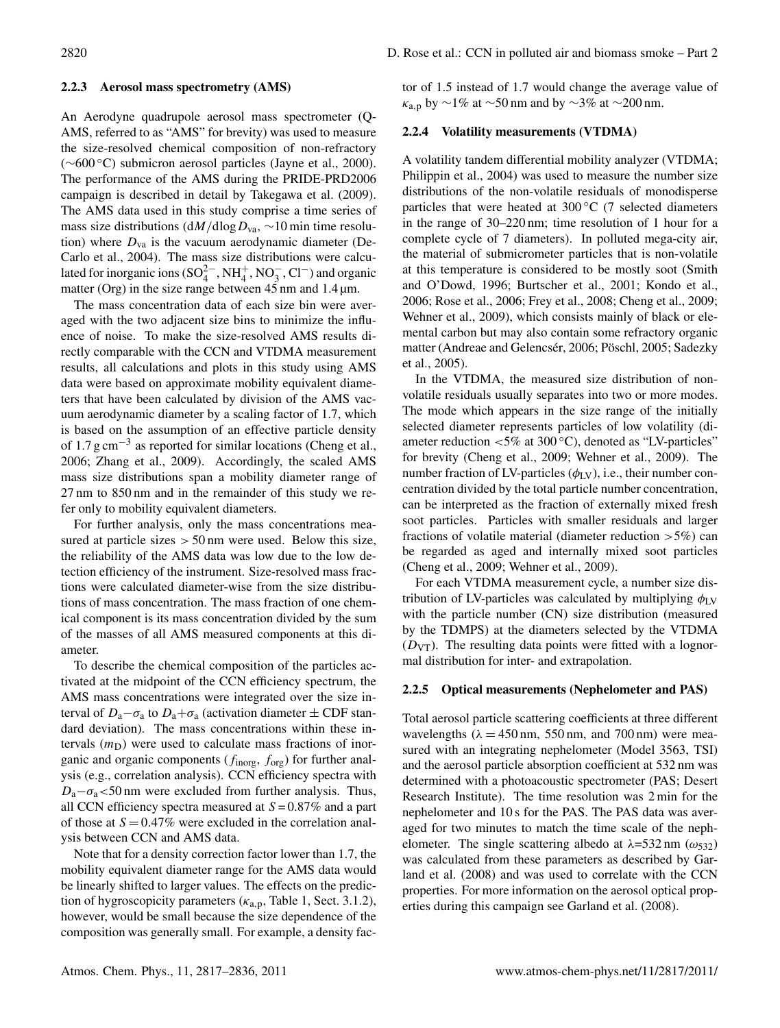#### **2.2.3 Aerosol mass spectrometry (AMS)**

An Aerodyne quadrupole aerosol mass spectrometer (Q-AMS, referred to as "AMS" for brevity) was used to measure the size-resolved chemical composition of non-refractory (∼600 ◦C) submicron aerosol particles (Jayne et al., 2000). The performance of the AMS during the PRIDE-PRD2006 campaign is described in detail by Takegawa et al. (2009). The AMS data used in this study comprise a time series of mass size distributions  $\left(\frac{dM}{d\log D_{\text{va}}}, \sim 10 \text{ min time} \right)$ tion) where  $D_{va}$  is the vacuum aerodynamic diameter (De-Carlo et al., 2004). The mass size distributions were calculated for inorganic ions ( $SO_4^{2-}$ ,  $NH_4^+$ ,  $NO_3^-$ ,  $Cl^-$ ) and organic matter (Org) in the size range between  $45$  nm and  $1.4 \mu$ m.

The mass concentration data of each size bin were averaged with the two adjacent size bins to minimize the influence of noise. To make the size-resolved AMS results directly comparable with the CCN and VTDMA measurement results, all calculations and plots in this study using AMS data were based on approximate mobility equivalent diameters that have been calculated by division of the AMS vacuum aerodynamic diameter by a scaling factor of 1.7, which is based on the assumption of an effective particle density of 1.7  $\text{g cm}^{-3}$  as reported for similar locations (Cheng et al., 2006; Zhang et al., 2009). Accordingly, the scaled AMS mass size distributions span a mobility diameter range of 27 nm to 850 nm and in the remainder of this study we refer only to mobility equivalent diameters.

For further analysis, only the mass concentrations measured at particle sizes  $> 50 \text{ nm}$  were used. Below this size, the reliability of the AMS data was low due to the low detection efficiency of the instrument. Size-resolved mass fractions were calculated diameter-wise from the size distributions of mass concentration. The mass fraction of one chemical component is its mass concentration divided by the sum of the masses of all AMS measured components at this diameter.

To describe the chemical composition of the particles activated at the midpoint of the CCN efficiency spectrum, the AMS mass concentrations were integrated over the size interval of  $D_a-\sigma_a$  to  $D_a+\sigma_a$  (activation diameter  $\pm$  CDF standard deviation). The mass concentrations within these intervals  $(m_D)$  were used to calculate mass fractions of inorganic and organic components ( $f_{\text{inorg}}$ ,  $f_{\text{org}}$ ) for further analysis (e.g., correlation analysis). CCN efficiency spectra with  $D_a-\sigma_a$ <50 nm were excluded from further analysis. Thus, all CCN efficiency spectra measured at  $S = 0.87\%$  and a part of those at  $S = 0.47\%$  were excluded in the correlation analysis between CCN and AMS data.

Note that for a density correction factor lower than 1.7, the mobility equivalent diameter range for the AMS data would be linearly shifted to larger values. The effects on the prediction of hygroscopicity parameters ( $\kappa_{a,p}$ , Table 1, Sect. 3.1.2), however, would be small because the size dependence of the composition was generally small. For example, a density factor of 1.5 instead of 1.7 would change the average value of  $\kappa_{a,p}$  by ∼1% at ∼50 nm and by ∼3% at ∼200 nm.

#### **2.2.4 Volatility measurements (VTDMA)**

A volatility tandem differential mobility analyzer (VTDMA; Philippin et al., 2004) was used to measure the number size distributions of the non-volatile residuals of monodisperse particles that were heated at  $300\,^{\circ}\text{C}$  (7 selected diameters in the range of 30–220 nm; time resolution of 1 hour for a complete cycle of 7 diameters). In polluted mega-city air, the material of submicrometer particles that is non-volatile at this temperature is considered to be mostly soot (Smith and O'Dowd, 1996; Burtscher et al., 2001; Kondo et al., 2006; Rose et al., 2006; Frey et al., 2008; Cheng et al., 2009; Wehner et al., 2009), which consists mainly of black or elemental carbon but may also contain some refractory organic matter (Andreae and Gelencsér, 2006; Pöschl, 2005; Sadezky et al., 2005).

In the VTDMA, the measured size distribution of nonvolatile residuals usually separates into two or more modes. The mode which appears in the size range of the initially selected diameter represents particles of low volatility (diameter reduction  $<$  5% at 300 °C), denoted as "LV-particles" for brevity (Cheng et al., 2009; Wehner et al., 2009). The number fraction of LV-particles  $(\phi_{\text{LV}})$ , i.e., their number concentration divided by the total particle number concentration, can be interpreted as the fraction of externally mixed fresh soot particles. Particles with smaller residuals and larger fractions of volatile material (diameter reduction  $>5\%$ ) can be regarded as aged and internally mixed soot particles (Cheng et al., 2009; Wehner et al., 2009).

For each VTDMA measurement cycle, a number size distribution of LV-particles was calculated by multiplying  $\phi_{\text{LV}}$ with the particle number (CN) size distribution (measured by the TDMPS) at the diameters selected by the VTDMA  $(D_{VT})$ . The resulting data points were fitted with a lognormal distribution for inter- and extrapolation.

#### **2.2.5 Optical measurements (Nephelometer and PAS)**

Total aerosol particle scattering coefficients at three different wavelengths ( $\lambda = 450$  nm, 550 nm, and 700 nm) were measured with an integrating nephelometer (Model 3563, TSI) and the aerosol particle absorption coefficient at 532 nm was determined with a photoacoustic spectrometer (PAS; Desert Research Institute). The time resolution was 2 min for the nephelometer and 10 s for the PAS. The PAS data was averaged for two minutes to match the time scale of the nephelometer. The single scattering albedo at  $\lambda$ =532 nm ( $\omega$ <sub>532</sub>) was calculated from these parameters as described by Garland et al. (2008) and was used to correlate with the CCN properties. For more information on the aerosol optical properties during this campaign see Garland et al. (2008).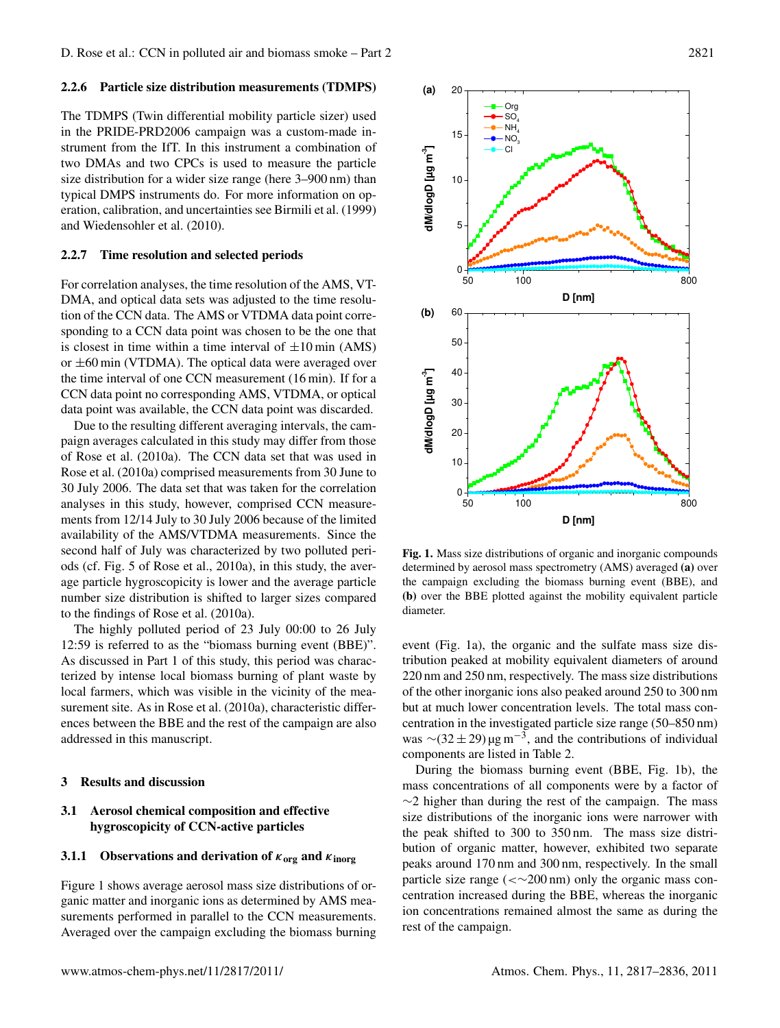## **2.2.6 Particle size distribution measurements (TDMPS)**

The TDMPS (Twin differential mobility particle sizer) used in the PRIDE-PRD2006 campaign was a custom-made instrument from the IfT. In this instrument a combination of two DMAs and two CPCs is used to measure the particle size distribution for a wider size range (here 3–900 nm) than typical DMPS instruments do. For more information on operation, calibration, and uncertainties see Birmili et al. (1999) and Wiedensohler et al. (2010).

## **2.2.7 Time resolution and selected periods**

For correlation analyses, the time resolution of the AMS, VT-DMA, and optical data sets was adjusted to the time resolution of the CCN data. The AMS or VTDMA data point corresponding to a CCN data point was chosen to be the one that is closest in time within a time interval of  $\pm 10$  min (AMS) or  $\pm 60$  min (VTDMA). The optical data were averaged over the time interval of one CCN measurement (16 min). If for a CCN data point no corresponding AMS, VTDMA, or optical data point was available, the CCN data point was discarded.

Due to the resulting different averaging intervals, the campaign averages calculated in this study may differ from those of Rose et al. (2010a). The CCN data set that was used in Rose et al. (2010a) comprised measurements from 30 June to 30 July 2006. The data set that was taken for the correlation analyses in this study, however, comprised CCN measurements from 12/14 July to 30 July 2006 because of the limited availability of the AMS/VTDMA measurements. Since the second half of July was characterized by two polluted periods (cf. Fig. 5 of Rose et al., 2010a), in this study, the average particle hygroscopicity is lower and the average particle number size distribution is shifted to larger sizes compared to the findings of Rose et al. (2010a).

The highly polluted period of 23 July 00:00 to 26 July 12:59 is referred to as the "biomass burning event (BBE)". As discussed in Part 1 of this study, this period was characterized by intense local biomass burning of plant waste by local farmers, which was visible in the vicinity of the measurement site. As in Rose et al. (2010a), characteristic differences between the BBE and the rest of the campaign are also addressed in this manuscript.

## **3 Results and discussion**

# **3.1 Aerosol chemical composition and effective hygroscopicity of CCN-active particles**

#### **3.1.1 Observations and derivation of** κ**org and** κ**inorg**

Figure 1 shows average aerosol mass size distributions of organic matter and inorganic ions as determined by AMS measurements performed in parallel to the CCN measurements. Averaged over the campaign excluding the biomass burning



**Fig. 1.** Mass size distributions of organic and inorganic compounds determined by aerosol mass spectrometry (AMS) averaged **(a)** over the campaign excluding the biomass burning event (BBE), and **(b)** over the BBE plotted against the mobility equivalent particle diameter.

event (Fig. 1a), the organic and the sulfate mass size distribution peaked at mobility equivalent diameters of around 220 nm and 250 nm, respectively. The mass size distributions of the other inorganic ions also peaked around 250 to 300 nm but at much lower concentration levels. The total mass concentration in the investigated particle size range (50–850 nm) was  $\sim$ (32 ± 29) µg m<sup>-3</sup>, and the contributions of individual components are listed in Table 2.

During the biomass burning event (BBE, Fig. 1b), the mass concentrations of all components were by a factor of  $\sim$ 2 higher than during the rest of the campaign. The mass size distributions of the inorganic ions were narrower with the peak shifted to 300 to 350 nm. The mass size distribution of organic matter, however, exhibited two separate peaks around 170 nm and 300 nm, respectively. In the small particle size range ( $\langle \sim 200 \text{ nm} \rangle$  only the organic mass concentration increased during the BBE, whereas the inorganic ion concentrations remained almost the same as during the rest of the campaign.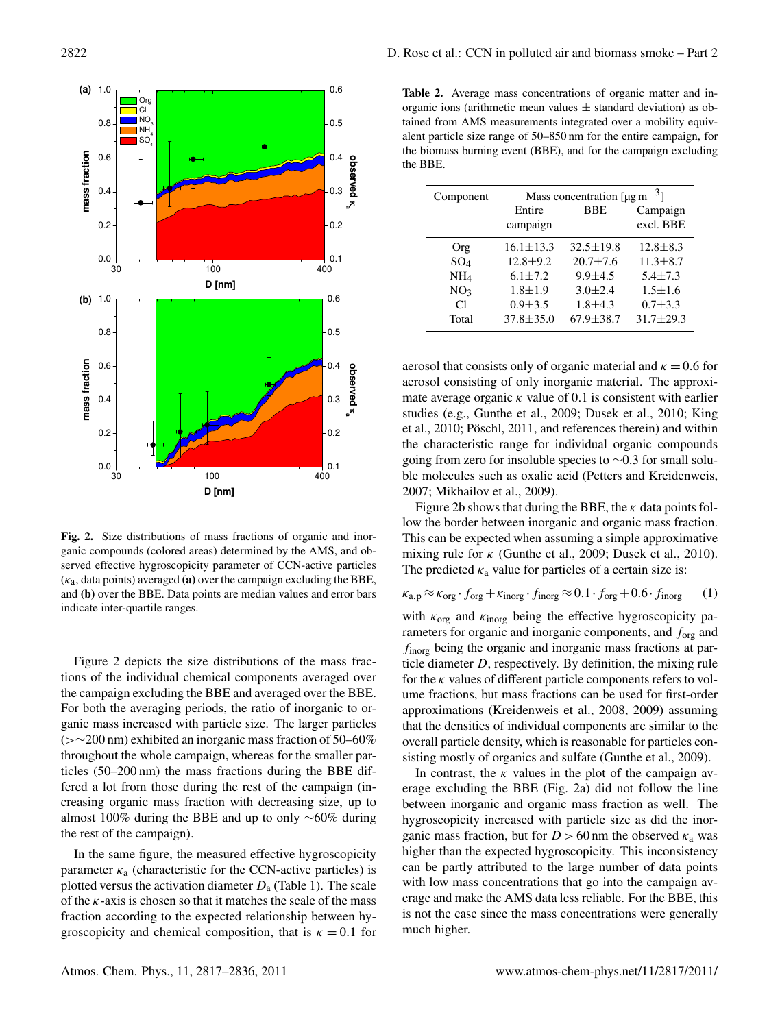

**Fig. 2.** Size distributions of mass fractions of organic and inorganic compounds (colored areas) determined by the AMS, and observed effective hygroscopicity parameter of CCN-active particles  $(\kappa_a)$ , data points) averaged (a) over the campaign excluding the BBE, and **(b)** over the BBE. Data points are median values and error bars indicate inter-quartile ranges.

Figure 2 depicts the size distributions of the mass fractions of the individual chemical components averaged over the campaign excluding the BBE and averaged over the BBE. For both the averaging periods, the ratio of inorganic to organic mass increased with particle size. The larger particles (>∼200 nm) exhibited an inorganic mass fraction of 50–60% throughout the whole campaign, whereas for the smaller particles (50–200 nm) the mass fractions during the BBE differed a lot from those during the rest of the campaign (increasing organic mass fraction with decreasing size, up to almost 100% during the BBE and up to only ∼60% during the rest of the campaign).

In the same figure, the measured effective hygroscopicity parameter  $\kappa_a$  (characteristic for the CCN-active particles) is plotted versus the activation diameter  $D_a$  (Table 1). The scale of the  $\kappa$ -axis is chosen so that it matches the scale of the mass fraction according to the expected relationship between hygroscopicity and chemical composition, that is  $\kappa = 0.1$  for

**Table 2.** Average mass concentrations of organic matter and inorganic ions (arithmetic mean values  $\pm$  standard deviation) as obtained from AMS measurements integrated over a mobility equivalent particle size range of 50–850 nm for the entire campaign, for the biomass burning event (BBE), and for the campaign excluding the BBE.

| Component       | Entire<br>campaign | <b>BBE</b>      | Mass concentration $[\mu g m^{-3}]$<br>Campaign<br>excl. BBE |  |  |
|-----------------|--------------------|-----------------|--------------------------------------------------------------|--|--|
| Org             | $16.1 \pm 13.3$    | $32.5 \pm 19.8$ | $12.8 \pm 8.3$                                               |  |  |
| $SO_4$          | $12.8 \pm 9.2$     | $20.7 \pm 7.6$  | $11.3 \pm 8.7$                                               |  |  |
| NH <sub>4</sub> | $6.1 \pm 7.2$      | $9.9{\pm}4.5$   | $5.4 \pm 7.3$                                                |  |  |
| NO <sub>3</sub> | $1.8 + 1.9$        | $3.0 \pm 2.4$   | $1.5 \pm 1.6$                                                |  |  |
| $\mathcal{C}$   | $0.9 \pm 3.5$      | $1.8 + 4.3$     | $0.7 + 3.3$                                                  |  |  |
| Total           | $37.8 \pm 35.0$    | $67.9 \pm 38.7$ | $31.7 \pm 29.3$                                              |  |  |

aerosol that consists only of organic material and  $\kappa = 0.6$  for aerosol consisting of only inorganic material. The approximate average organic  $\kappa$  value of 0.1 is consistent with earlier studies (e.g., Gunthe et al., 2009; Dusek et al., 2010; King et al., 2010; Pöschl, 2011, and references therein) and within the characteristic range for individual organic compounds going from zero for insoluble species to ∼0.3 for small soluble molecules such as oxalic acid (Petters and Kreidenweis, 2007; Mikhailov et al., 2009).

Figure 2b shows that during the BBE, the  $\kappa$  data points follow the border between inorganic and organic mass fraction. This can be expected when assuming a simple approximative mixing rule for  $\kappa$  (Gunthe et al., 2009; Dusek et al., 2010). The predicted  $\kappa_a$  value for particles of a certain size is:

$$
\kappa_{\rm a,p} \approx \kappa_{\rm org} \cdot f_{\rm org} + \kappa_{\rm inorg} \cdot f_{\rm inorg} \approx 0.1 \cdot f_{\rm org} + 0.6 \cdot f_{\rm inorg} \tag{1}
$$

with  $\kappa_{org}$  and  $\kappa_{inorg}$  being the effective hygroscopicity parameters for organic and inorganic components, and  $f_{\text{org}}$  and finorg being the organic and inorganic mass fractions at particle diameter D, respectively. By definition, the mixing rule for the  $\kappa$  values of different particle components refers to volume fractions, but mass fractions can be used for first-order approximations (Kreidenweis et al., 2008, 2009) assuming that the densities of individual components are similar to the overall particle density, which is reasonable for particles consisting mostly of organics and sulfate (Gunthe et al., 2009).

In contrast, the  $\kappa$  values in the plot of the campaign average excluding the BBE (Fig. 2a) did not follow the line between inorganic and organic mass fraction as well. The hygroscopicity increased with particle size as did the inorganic mass fraction, but for  $D > 60$  nm the observed  $\kappa_a$  was higher than the expected hygroscopicity. This inconsistency can be partly attributed to the large number of data points with low mass concentrations that go into the campaign average and make the AMS data less reliable. For the BBE, this is not the case since the mass concentrations were generally much higher.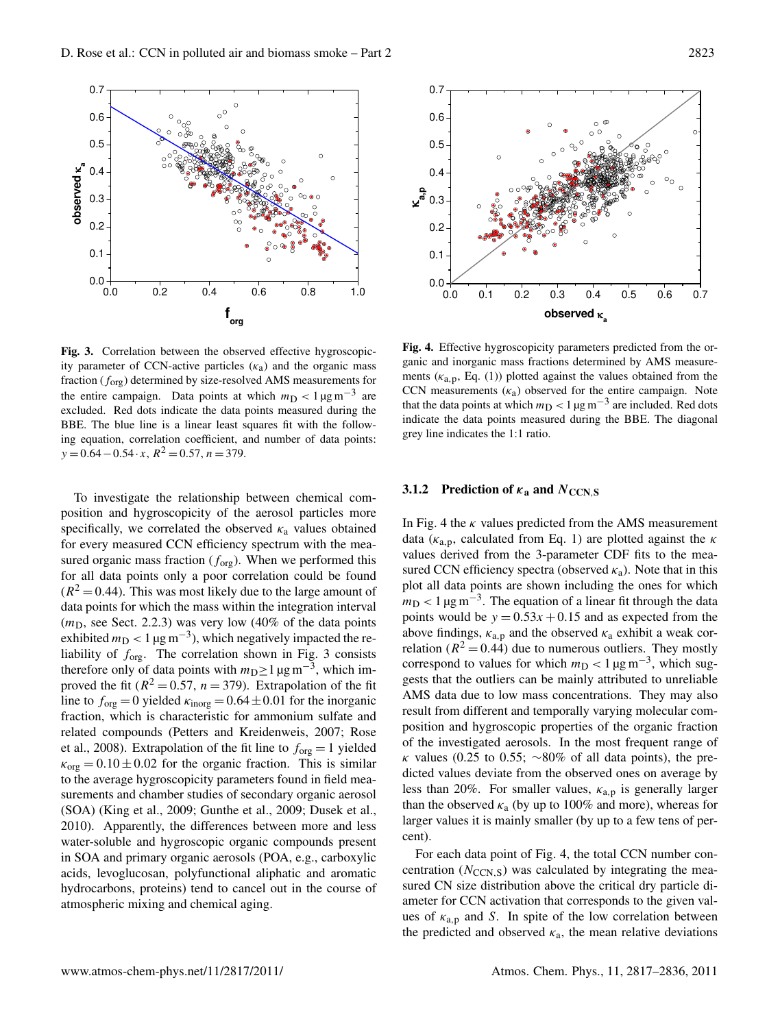

**Fig. 3.** Correlation between the observed effective hygroscopicity parameter of CCN-active particles  $(\kappa_a)$  and the organic mass fraction  $(f_{org})$  determined by size-resolved AMS measurements for the entire campaign. Data points at which  $m<sub>D</sub> < 1 \,\mu g m<sup>-3</sup>$  are excluded. Red dots indicate the data points measured during the BBE. The blue line is a linear least squares fit with the following equation, correlation coefficient, and number of data points:  $y = 0.64 - 0.54 \cdot x$ ,  $R^2 = 0.57$ ,  $n = 379$ .

To investigate the relationship between chemical composition and hygroscopicity of the aerosol particles more specifically, we correlated the observed  $\kappa_a$  values obtained for every measured CCN efficiency spectrum with the measured organic mass fraction  $(f_{org})$ . When we performed this for all data points only a poor correlation could be found  $(R^2 = 0.44)$ . This was most likely due to the large amount of data points for which the mass within the integration interval  $(m_D, \text{see Sect. 2.2.3})$  was very low (40% of the data points exhibited  $m_D < 1 \,\text{µg m}^{-3}$ ), which negatively impacted the reliability of  $f_{org}$ . The correlation shown in Fig. 3 consists therefore only of data points with  $m_D \ge 1 \,\text{\mu g m}^{-3}$ , which improved the fit ( $R^2 = 0.57$ ,  $n = 379$ ). Extrapolation of the fit line to  $f_{org} = 0$  yielded  $\kappa_{inorg} = 0.64 \pm 0.01$  for the inorganic fraction, which is characteristic for ammonium sulfate and related compounds (Petters and Kreidenweis, 2007; Rose et al., 2008). Extrapolation of the fit line to  $f_{org} = 1$  yielded  $\kappa_{\text{org}} = 0.10 \pm 0.02$  for the organic fraction. This is similar to the average hygroscopicity parameters found in field measurements and chamber studies of secondary organic aerosol (SOA) (King et al., 2009; Gunthe et al., 2009; Dusek et al., 2010). Apparently, the differences between more and less water-soluble and hygroscopic organic compounds present in SOA and primary organic aerosols (POA, e.g., carboxylic acids, levoglucosan, polyfunctional aliphatic and aromatic hydrocarbons, proteins) tend to cancel out in the course of atmospheric mixing and chemical aging.



**Fig. 4.** Effective hygroscopicity parameters predicted from the organic and inorganic mass fractions determined by AMS measurements  $(\kappa_{a,p}, Eq. (1))$  plotted against the values obtained from the CCN measurements  $(\kappa_a)$  observed for the entire campaign. Note that the data points at which  $m<sub>D</sub> < 1 \mu g m<sup>-3</sup>$  are included. Red dots indicate the data points measured during the BBE. The diagonal grey line indicates the 1:1 ratio.

## **3.1.2** Prediction of  $\kappa_a$  and  $N_{CCN.S}$

In Fig. 4 the  $\kappa$  values predicted from the AMS measurement data ( $\kappa_{a,b}$ , calculated from Eq. 1) are plotted against the  $\kappa$ values derived from the 3-parameter CDF fits to the measured CCN efficiency spectra (observed  $\kappa_a$ ). Note that in this plot all data points are shown including the ones for which  $m<sub>D</sub> < 1 \,\mu g \,\text{m}^{-3}$ . The equation of a linear fit through the data points would be  $y = 0.53x + 0.15$  and as expected from the above findings,  $\kappa_{a,p}$  and the observed  $\kappa_a$  exhibit a weak correlation ( $R^2 = 0.44$ ) due to numerous outliers. They mostly correspond to values for which  $m_D < 1 \,\text{\mu g m}^{-3}$ , which suggests that the outliers can be mainly attributed to unreliable AMS data due to low mass concentrations. They may also result from different and temporally varying molecular composition and hygroscopic properties of the organic fraction of the investigated aerosols. In the most frequent range of κ values (0.25 to 0.55; ∼80% of all data points), the predicted values deviate from the observed ones on average by less than 20%. For smaller values,  $\kappa_{a,p}$  is generally larger than the observed  $\kappa_a$  (by up to 100% and more), whereas for larger values it is mainly smaller (by up to a few tens of percent).

For each data point of Fig. 4, the total CCN number concentration  $(N_{CCN, S})$  was calculated by integrating the measured CN size distribution above the critical dry particle diameter for CCN activation that corresponds to the given values of  $\kappa_{a,p}$  and S. In spite of the low correlation between the predicted and observed  $\kappa_a$ , the mean relative deviations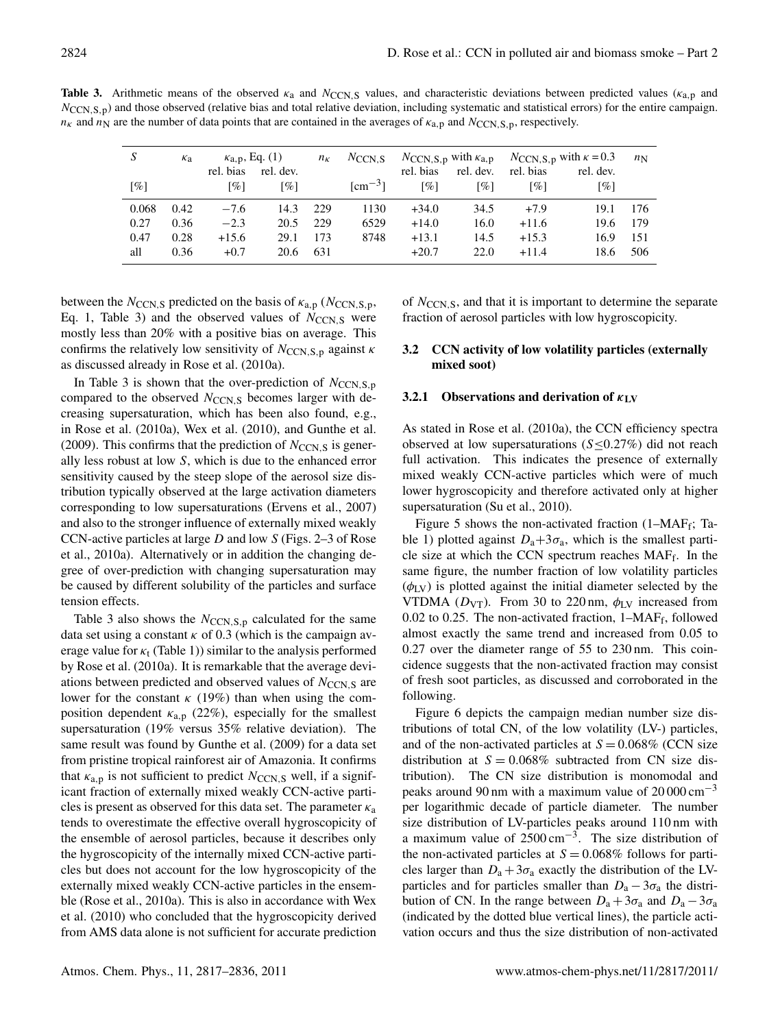**Table 3.** Arithmetic means of the observed  $\kappa_a$  and  $N_{\text{CCN},S}$  values, and characteristic deviations between predicted values ( $\kappa_{a,p}$  and  $N_{\text{CCN},S,p}$  and those observed (relative bias and total relative deviation, including systematic and statistical errors) for the entire campaign.  $n_k$  and  $n_N$  are the number of data points that are contained in the averages of  $\kappa_{a,p}$  and  $N_{\text{CCN},S,p}$ , respectively.

| S<br>$\lceil \% \rceil$      | $\kappa_{\rm a}$             | $\lceil \% \rceil$                    | $\kappa_{a,p}$ , Eq. (1)<br>rel. bias rel. dev.<br>$\lceil \% \rceil$ | $n_{K}$                  | $N_{\rm CCN, S}$<br>$\mathrm{[cm^{-3}}$ | rel. bias<br>$\lceil \% \rceil$          | $\lceil \% \rceil$           | rel. dev. rel. bias<br>$\lceil \% \rceil$ | $N_{\text{CCN},S,p}$ with $\kappa_{a,p}$ $N_{\text{CCN},S,p}$ with $\kappa = 0.3$<br>rel. dev.<br>$\lceil \% \rceil$ | $n_{\rm N}$                  |
|------------------------------|------------------------------|---------------------------------------|-----------------------------------------------------------------------|--------------------------|-----------------------------------------|------------------------------------------|------------------------------|-------------------------------------------|----------------------------------------------------------------------------------------------------------------------|------------------------------|
| 0.068<br>0.27<br>0.47<br>all | 0.42<br>0.36<br>0.28<br>0.36 | $-7.6$<br>$-2.3$<br>$+15.6$<br>$+0.7$ | 14.3<br>20.5<br>29.1<br>20.6                                          | 229<br>229<br>173<br>631 | 1130<br>6529<br>8748                    | $+34.0$<br>$+14.0$<br>$+13.1$<br>$+20.7$ | 34.5<br>16.0<br>14.5<br>22.0 | $+7.9$<br>$+11.6$<br>$+15.3$<br>$+11.4$   | 19.1<br>19.6<br>16.9<br>18.6                                                                                         | -176<br>- 179<br>-151<br>506 |

between the  $N_{\text{CCN},S}$  predicted on the basis of  $\kappa_{a,p}$  ( $N_{\text{CCN},S,p}$ , Eq. 1, Table 3) and the observed values of  $N_{\text{CCN, S}}$  were mostly less than 20% with a positive bias on average. This confirms the relatively low sensitivity of  $N_{\text{CCN},S,p}$  against  $\kappa$ as discussed already in Rose et al. (2010a).

In Table 3 is shown that the over-prediction of  $N_{\text{CCN},S,p}$ compared to the observed  $N_{\text{CCN},S}$  becomes larger with decreasing supersaturation, which has been also found, e.g., in Rose et al. (2010a), Wex et al. (2010), and Gunthe et al. (2009). This confirms that the prediction of  $N_{\text{CCN},S}$  is generally less robust at low S, which is due to the enhanced error sensitivity caused by the steep slope of the aerosol size distribution typically observed at the large activation diameters corresponding to low supersaturations (Ervens et al., 2007) and also to the stronger influence of externally mixed weakly CCN-active particles at large D and low S (Figs. 2–3 of Rose et al., 2010a). Alternatively or in addition the changing degree of over-prediction with changing supersaturation may be caused by different solubility of the particles and surface tension effects.

Table 3 also shows the  $N_{\text{CCN},S,p}$  calculated for the same data set using a constant  $\kappa$  of 0.3 (which is the campaign average value for  $\kappa_t$  (Table 1)) similar to the analysis performed by Rose et al. (2010a). It is remarkable that the average deviations between predicted and observed values of  $N_{\text{CCN}}$  are lower for the constant  $\kappa$  (19%) than when using the composition dependent  $\kappa_{a,p}$  (22%), especially for the smallest supersaturation (19% versus 35% relative deviation). The same result was found by Gunthe et al. (2009) for a data set from pristine tropical rainforest air of Amazonia. It confirms that  $\kappa_{a,p}$  is not sufficient to predict  $N_{\text{CCN},S}$  well, if a significant fraction of externally mixed weakly CCN-active particles is present as observed for this data set. The parameter  $\kappa_a$ tends to overestimate the effective overall hygroscopicity of the ensemble of aerosol particles, because it describes only the hygroscopicity of the internally mixed CCN-active particles but does not account for the low hygroscopicity of the externally mixed weakly CCN-active particles in the ensemble (Rose et al., 2010a). This is also in accordance with Wex et al. (2010) who concluded that the hygroscopicity derived from AMS data alone is not sufficient for accurate prediction of  $N_{\text{CCN},S}$ , and that it is important to determine the separate fraction of aerosol particles with low hygroscopicity.

# **3.2 CCN activity of low volatility particles (externally mixed soot)**

#### **3.2.1** Observations and derivation of  $κ_{\text{LV}}$

As stated in Rose et al. (2010a), the CCN efficiency spectra observed at low supersaturations ( $S \le 0.27\%$ ) did not reach full activation. This indicates the presence of externally mixed weakly CCN-active particles which were of much lower hygroscopicity and therefore activated only at higher supersaturation (Su et al., 2010).

Figure 5 shows the non-activated fraction  $(1-MAF_f; Ta$ ble 1) plotted against  $D_a+3\sigma_a$ , which is the smallest particle size at which the CCN spectrum reaches  $MAF_f$ . In the same figure, the number fraction of low volatility particles  $(\phi_{LV})$  is plotted against the initial diameter selected by the VTDMA ( $D_{VT}$ ). From 30 to 220 nm,  $\phi_{LV}$  increased from  $0.02$  to 0.25. The non-activated fraction, 1–MAF<sub>f</sub>, followed almost exactly the same trend and increased from 0.05 to 0.27 over the diameter range of 55 to 230 nm. This coincidence suggests that the non-activated fraction may consist of fresh soot particles, as discussed and corroborated in the following.

Figure 6 depicts the campaign median number size distributions of total CN, of the low volatility (LV-) particles, and of the non-activated particles at  $S = 0.068\%$  (CCN size distribution at  $S = 0.068\%$  subtracted from CN size distribution). The CN size distribution is monomodal and peaks around 90 nm with a maximum value of  $20000 \text{ cm}^{-3}$ per logarithmic decade of particle diameter. The number size distribution of LV-particles peaks around 110 nm with a maximum value of  $2500 \text{ cm}^{-3}$ . The size distribution of the non-activated particles at  $S = 0.068\%$  follows for particles larger than  $D_a + 3\sigma_a$  exactly the distribution of the LVparticles and for particles smaller than  $D_a - 3\sigma_a$  the distribution of CN. In the range between  $D_a + 3\sigma_a$  and  $D_a - 3\sigma_a$ (indicated by the dotted blue vertical lines), the particle activation occurs and thus the size distribution of non-activated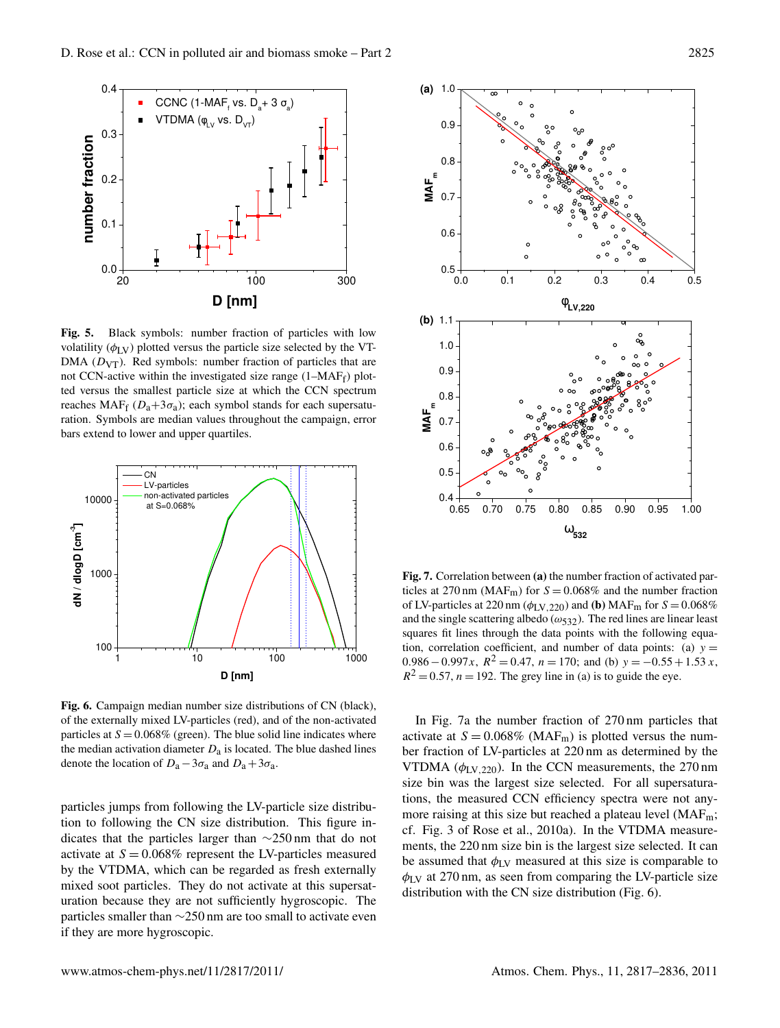

**Fig. 5.** Black symbols: number fraction of particles with low volatility  $(\phi_{LV})$  plotted versus the particle size selected by the VT-DMA  $(D_{VT})$ . Red symbols: number fraction of particles that are not CCN-active within the investigated size range  $(1-MAF_f)$  plotted versus the smallest particle size at which the CCN spectrum reaches  $\text{MAF}_{f}$  ( $D_{a}+3\sigma_{a}$ ); each symbol stands for each supersaturation. Symbols are median values throughout the campaign, error bars extend to lower and upper quartiles.



**Fig. 6.** Campaign median number size distributions of CN (black), of the externally mixed LV-particles (red), and of the non-activated particles at  $S = 0.068\%$  (green). The blue solid line indicates where the median activation diameter  $D_a$  is located. The blue dashed lines denote the location of  $D_a - 3\sigma_a$  and  $D_a + 3\sigma_a$ .

particles jumps from following the LV-particle size distribution to following the CN size distribution. This figure indicates that the particles larger than ∼250 nm that do not activate at  $S = 0.068\%$  represent the LV-particles measured by the VTDMA, which can be regarded as fresh externally mixed soot particles. They do not activate at this supersaturation because they are not sufficiently hygroscopic. The particles smaller than ∼250 nm are too small to activate even if they are more hygroscopic.



**Fig. 7.** Correlation between **(a)** the number fraction of activated particles at 270 nm (MAF<sub>m</sub>) for  $S = 0.068\%$  and the number fraction of LV-particles at 220 nm ( $\phi$ <sub>LV, 220</sub>) and **(b)** MAF<sub>m</sub> for  $S = 0.068\%$ and the single scattering albedo ( $\omega$ 532). The red lines are linear least squares fit lines through the data points with the following equation, correlation coefficient, and number of data points: (a)  $y =$  $0.986 - 0.997x$ ,  $R^2 = 0.47$ ,  $n = 170$ ; and (b)  $y = -0.55 + 1.53 x$ ,  $R^2 = 0.57$ ,  $n = 192$ . The grey line in (a) is to guide the eye.

In Fig. 7a the number fraction of 270 nm particles that activate at  $S = 0.068\%$  (MAF<sub>m</sub>) is plotted versus the number fraction of LV-particles at 220 nm as determined by the VTDMA ( $\phi_{LV,220}$ ). In the CCN measurements, the 270 nm size bin was the largest size selected. For all supersaturations, the measured CCN efficiency spectra were not anymore raising at this size but reached a plateau level  $(MAF_m;$ cf. Fig. 3 of Rose et al., 2010a). In the VTDMA measurements, the 220 nm size bin is the largest size selected. It can be assumed that  $\phi_{\text{LV}}$  measured at this size is comparable to  $\phi_{\text{LV}}$  at 270 nm, as seen from comparing the LV-particle size distribution with the CN size distribution (Fig. 6).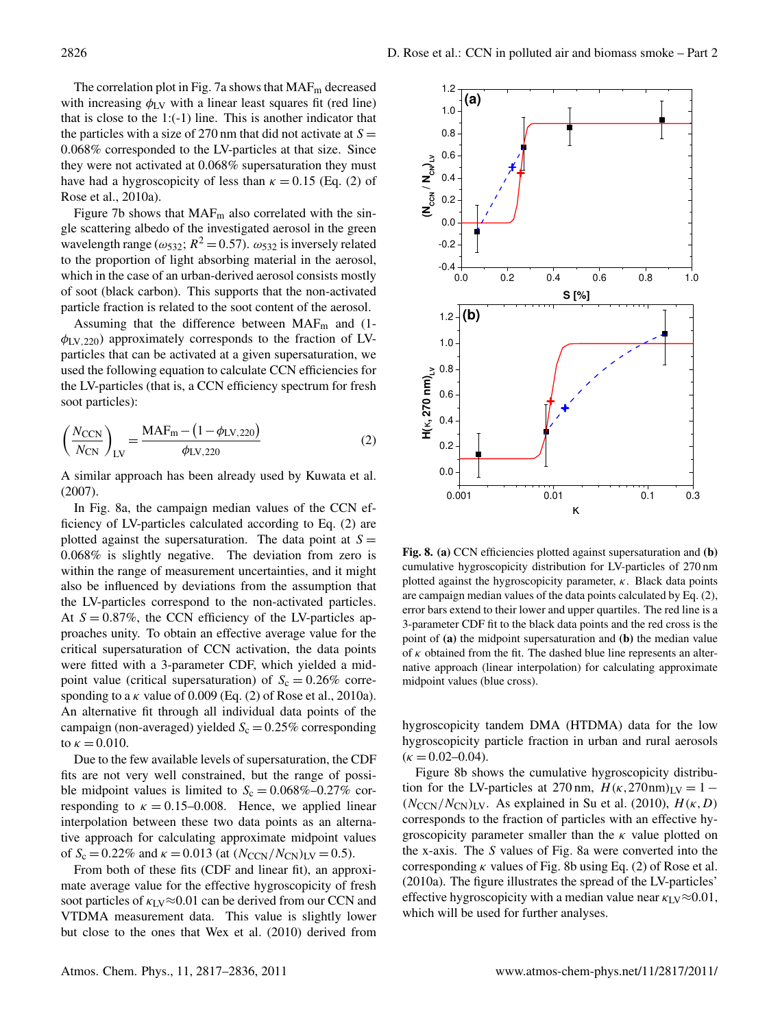The correlation plot in Fig. 7a shows that  $MAF<sub>m</sub>$  decreased with increasing  $\phi_{\text{LV}}$  with a linear least squares fit (red line) that is close to the  $1:(-1)$  line. This is another indicator that the particles with a size of 270 nm that did not activate at  $S =$ 0.068% corresponded to the LV-particles at that size. Since they were not activated at 0.068% supersaturation they must have had a hygroscopicity of less than  $\kappa = 0.15$  (Eq. (2) of Rose et al., 2010a).

Figure 7b shows that  $MAF<sub>m</sub>$  also correlated with the single scattering albedo of the investigated aerosol in the green wavelength range ( $\omega_{532}$ ;  $R^2 = 0.57$ ).  $\omega_{532}$  is inversely related to the proportion of light absorbing material in the aerosol, which in the case of an urban-derived aerosol consists mostly of soot (black carbon). This supports that the non-activated particle fraction is related to the soot content of the aerosol.

Assuming that the difference between  $MAF<sub>m</sub>$  and (1- $\phi_{LV,220}$ ) approximately corresponds to the fraction of LVparticles that can be activated at a given supersaturation, we used the following equation to calculate CCN efficiencies for the LV-particles (that is, a CCN efficiency spectrum for fresh soot particles):

$$
\left(\frac{N_{\text{CCN}}}{N_{\text{CN}}}\right)_{\text{LV}} = \frac{\text{MAF}_{\text{m}} - (1 - \phi_{\text{LV},220})}{\phi_{\text{LV},220}}\tag{2}
$$

A similar approach has been already used by Kuwata et al. (2007).

In Fig. 8a, the campaign median values of the CCN efficiency of LV-particles calculated according to Eq. (2) are plotted against the supersaturation. The data point at  $S =$ 0.068% is slightly negative. The deviation from zero is within the range of measurement uncertainties, and it might also be influenced by deviations from the assumption that the LV-particles correspond to the non-activated particles. At  $S = 0.87\%$ , the CCN efficiency of the LV-particles approaches unity. To obtain an effective average value for the critical supersaturation of CCN activation, the data points were fitted with a 3-parameter CDF, which yielded a midpoint value (critical supersaturation) of  $S_c = 0.26\%$  corresponding to a  $\kappa$  value of 0.009 (Eq. (2) of Rose et al., 2010a). An alternative fit through all individual data points of the campaign (non-averaged) yielded  $S_c = 0.25\%$  corresponding to  $\kappa = 0.010$ .

Due to the few available levels of supersaturation, the CDF fits are not very well constrained, but the range of possible midpoint values is limited to  $S_c = 0.068\% - 0.27\%$  corresponding to  $\kappa = 0.15{\text -}0.008$ . Hence, we applied linear interpolation between these two data points as an alternative approach for calculating approximate midpoint values of  $S_c = 0.22\%$  and  $\kappa = 0.013$  (at  $(N_{\text{CCN}}/N_{\text{CN}})_{\text{LV}} = 0.5$ ).

From both of these fits (CDF and linear fit), an approximate average value for the effective hygroscopicity of fresh soot particles of  $\kappa_{\text{LV}} \approx 0.01$  can be derived from our CCN and VTDMA measurement data. This value is slightly lower but close to the ones that Wex et al. (2010) derived from



**Fig. 8. (a)** CCN efficiencies plotted against supersaturation and **(b)** cumulative hygroscopicity distribution for LV-particles of 270 nm plotted against the hygroscopicity parameter,  $\kappa$ . Black data points are campaign median values of the data points calculated by Eq. (2), error bars extend to their lower and upper quartiles. The red line is a 3-parameter CDF fit to the black data points and the red cross is the point of **(a)** the midpoint supersaturation and **(b)** the median value of  $\kappa$  obtained from the fit. The dashed blue line represents an alternative approach (linear interpolation) for calculating approximate midpoint values (blue cross).

hygroscopicity tandem DMA (HTDMA) data for the low hygroscopicity particle fraction in urban and rural aerosols  $(\kappa = 0.02{\text -}0.04)$ .

Figure 8b shows the cumulative hygroscopicity distribution for the LV-particles at 270 nm,  $H(\kappa, 270 \text{nm})_{\text{LV}} = 1 (N_{\text{CCN}}/N_{\text{CN}})_{\text{LV}}$ . As explained in Su et al. (2010),  $H(\kappa, D)$ corresponds to the fraction of particles with an effective hygroscopicity parameter smaller than the  $\kappa$  value plotted on the x-axis. The S values of Fig. 8a were converted into the corresponding  $\kappa$  values of Fig. 8b using Eq. (2) of Rose et al. (2010a). The figure illustrates the spread of the LV-particles' effective hygroscopicity with a median value near  $\kappa_{\text{LV}} \approx 0.01$ , which will be used for further analyses.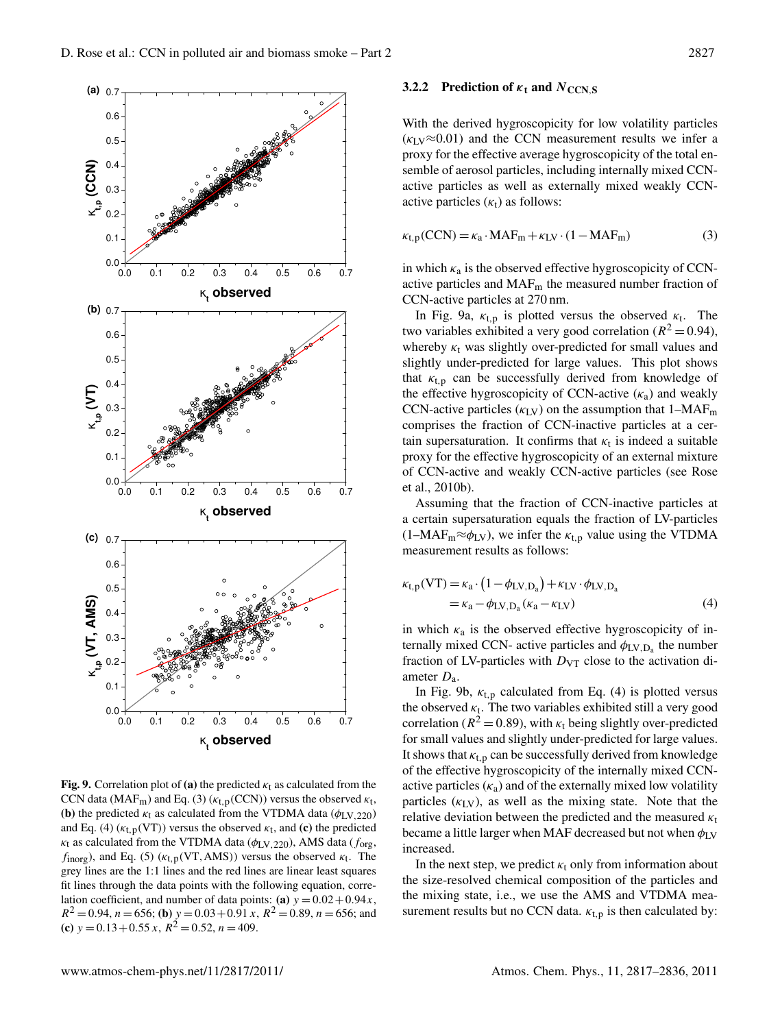

**Fig. 9.** Correlation plot of **(a)** the predicted  $\kappa_t$  as calculated from the CCN data (MAF<sub>m</sub>) and Eq. (3) ( $\kappa_{t,p}$ (CCN)) versus the observed  $\kappa_t$ , **(b)** the predicted  $\kappa_t$  as calculated from the VTDMA data ( $\phi_{LV,220}$ ) and Eq. (4)  $(\kappa_{t,p}(VT))$  versus the observed  $\kappa_t$ , and **(c)** the predicted  $\kappa_t$  as calculated from the VTDMA data ( $\phi_{LV,220}$ ), AMS data ( $f_{org}$ ,  $f_{\text{inorg}}$ ), and Eq. (5) ( $\kappa_{t,p}$ (VT, AMS)) versus the observed  $\kappa_t$ . The grey lines are the 1:1 lines and the red lines are linear least squares fit lines through the data points with the following equation, correlation coefficient, and number of data points: **(a)**  $y = 0.02 + 0.94x$ ,  $R^2 = 0.94$ ,  $n = 656$ ; **(b)**  $y = 0.03 + 0.91x$ ,  $R^2 = 0.89$ ,  $n = 656$ ; and (c)  $y = 0.13 + 0.55 x$ ,  $R^2 = 0.52$ ,  $n = 409$ .

## **3.2.2** Prediction of  $\kappa_t$  and  $N_{CCN.S}$

With the derived hygroscopicity for low volatility particles  $(\kappa_{\text{LV}} \approx 0.01)$  and the CCN measurement results we infer a proxy for the effective average hygroscopicity of the total ensemble of aerosol particles, including internally mixed CCNactive particles as well as externally mixed weakly CCNactive particles  $(\kappa_t)$  as follows:

$$
\kappa_{t,p}(CCN) = \kappa_a \cdot MAF_m + \kappa_{LV} \cdot (1 - MAF_m)
$$
 (3)

in which  $\kappa_a$  is the observed effective hygroscopicity of CCNactive particles and  $\text{MAF}_{\text{m}}$  the measured number fraction of CCN-active particles at 270 nm.

In Fig. 9a,  $\kappa_{t,p}$  is plotted versus the observed  $\kappa_t$ . The two variables exhibited a very good correlation ( $R^2 = 0.94$ ), whereby  $\kappa_t$  was slightly over-predicted for small values and slightly under-predicted for large values. This plot shows that  $k_{\text{t,p}}$  can be successfully derived from knowledge of the effective hygroscopicity of CCN-active  $(\kappa_a)$  and weakly CCN-active particles ( $\kappa_{\rm LV}$ ) on the assumption that 1–MAF<sub>m</sub> comprises the fraction of CCN-inactive particles at a certain supersaturation. It confirms that  $\kappa_t$  is indeed a suitable proxy for the effective hygroscopicity of an external mixture of CCN-active and weakly CCN-active particles (see Rose et al., 2010b).

Assuming that the fraction of CCN-inactive particles at a certain supersaturation equals the fraction of LV-particles (1–MAF<sub>m</sub>≈ $\phi_{LV}$ ), we infer the  $\kappa_{t,p}$  value using the VTDMA measurement results as follows:

$$
\begin{aligned} \kappa_{\text{t,p}}(\text{VT}) &= \kappa_{\text{a}} \cdot \left( 1 - \phi_{\text{LV},\text{D}_{\text{a}}} \right) + \kappa_{\text{LV}} \cdot \phi_{\text{LV},\text{D}_{\text{a}}} \\ &= \kappa_{\text{a}} - \phi_{\text{LV},\text{D}_{\text{a}}}(\kappa_{\text{a}} - \kappa_{\text{LV}}) \end{aligned} \tag{4}
$$

in which  $\kappa_a$  is the observed effective hygroscopicity of internally mixed CCN- active particles and  $\phi_{LV,D_a}$  the number fraction of LV-particles with  $D_{VT}$  close to the activation diameter  $D_a$ .

In Fig. 9b,  $\kappa_{t,p}$  calculated from Eq. (4) is plotted versus the observed  $\kappa_t$ . The two variables exhibited still a very good correlation ( $R^2 = 0.89$ ), with  $\kappa_t$  being slightly over-predicted for small values and slightly under-predicted for large values. It shows that  $\kappa_{t,p}$  can be successfully derived from knowledge of the effective hygroscopicity of the internally mixed CCNactive particles  $(\kappa_a)$  and of the externally mixed low volatility particles  $(\kappa_{LV})$ , as well as the mixing state. Note that the relative deviation between the predicted and the measured  $\kappa_t$ became a little larger when MAF decreased but not when  $\phi_{LV}$ increased.

In the next step, we predict  $\kappa_t$  only from information about the size-resolved chemical composition of the particles and the mixing state, i.e., we use the AMS and VTDMA measurement results but no CCN data.  $\kappa_{t,p}$  is then calculated by: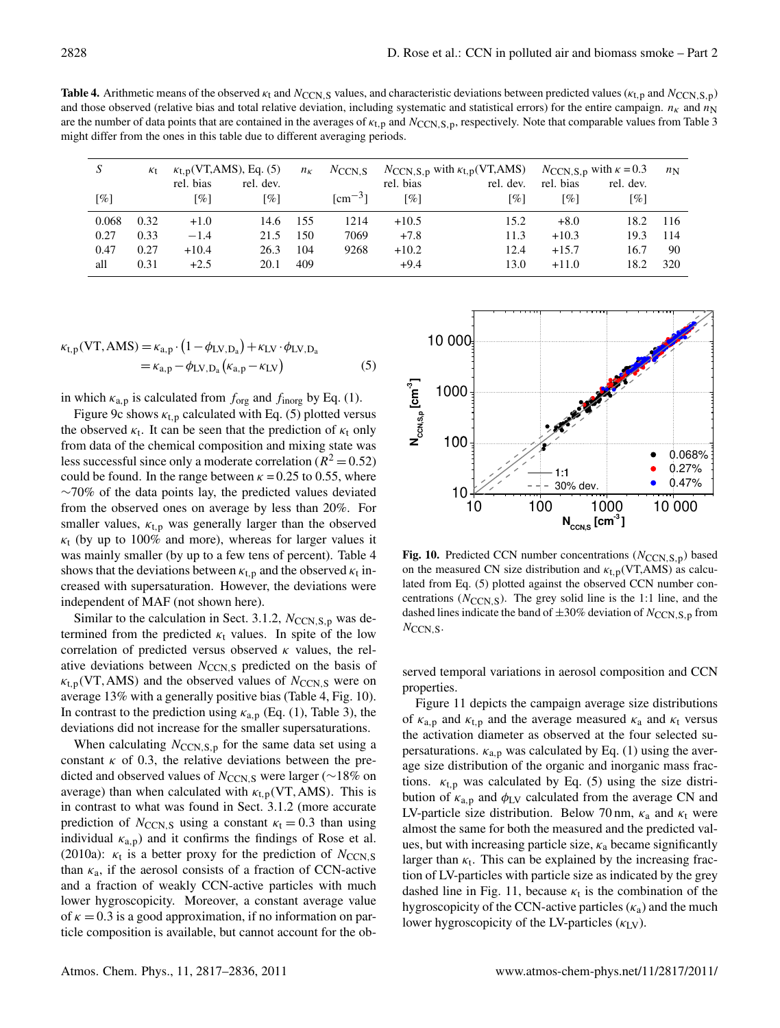**Table 4.** Arithmetic means of the observed  $\kappa_t$  and  $N_{\text{CCN},S}$  values, and characteristic deviations between predicted values ( $\kappa_{t,p}$  and  $N_{\text{CCN},S,p}$ ) and those observed (relative bias and total relative deviation, including systematic and statistical errors) for the entire campaign.  $n_k$  and  $n_N$ are the number of data points that are contained in the averages of  $\kappa_{t,p}$  and  $N_{CCN,S,p}$ , respectively. Note that comparable values from Table 3 might differ from the ones in this table due to different averaging periods.

| S                  | $\kappa_{\rm t}$ | $\kappa_{\text{L},p}$ (VT,AMS), Eq. (5) |                    | $N_{\text{CCN},S,p}$ with $\kappa_{t,p}(\text{VT,AMS})$<br>$N_{\rm CCN.S}$<br>$n_{K}$ |                      |                    | $N_{\text{CCN},S,p}$ with $\kappa = 0.3$ |                    | $n_{\rm N}$        |      |
|--------------------|------------------|-----------------------------------------|--------------------|---------------------------------------------------------------------------------------|----------------------|--------------------|------------------------------------------|--------------------|--------------------|------|
|                    |                  | rel. bias                               | rel. dev.          |                                                                                       |                      | rel. bias          | rel. dev.                                | rel. bias          | rel. dev.          |      |
| $\lceil \% \rceil$ |                  | $\lceil \% \rceil$                      | $\lceil \% \rceil$ |                                                                                       | $\mathrm{cm}^{-3}$ ] | $\lceil \% \rceil$ | $\lceil \% \rceil$                       | $\lceil \% \rceil$ | $\lceil \% \rceil$ |      |
| 0.068              | 0.32             | $+1.0$                                  | 14.6               | - 155                                                                                 | 1214                 | $+10.5$            | 15.2                                     | $+8.0$             | 18.2               | -116 |
| 0.27               | 0.33             | $-1.4$                                  | 21.5               | 150                                                                                   | 7069                 | $+7.8$             | 11.3                                     | $+10.3$            | 19.3               | -114 |
| 0.47               | 0.27             | $+10.4$                                 | 26.3               | 104                                                                                   | 9268                 | $+10.2$            | 12.4                                     | $+15.7$            | 16.7               | -90  |
| all                | 0.31             | $+2.5$                                  | 20.1               | 409                                                                                   |                      | $+9.4$             | 13.0                                     | $+11.0$            | 18.2               | 320  |

$$
\kappa_{t,p}(\text{VT},\text{AMS}) = \kappa_{a,p} \cdot (1 - \phi_{\text{LV},\text{D}_a}) + \kappa_{\text{LV}} \cdot \phi_{\text{LV},\text{D}_a}
$$
  
=  $\kappa_{a,p} - \phi_{\text{LV},\text{D}_a}(\kappa_{a,p} - \kappa_{\text{LV}})$  (5)

in which  $\kappa_{a,p}$  is calculated from  $f_{org}$  and  $f_{inorg}$  by Eq. (1).

Figure 9c shows  $\kappa_{t,p}$  calculated with Eq. (5) plotted versus the observed  $\kappa_t$ . It can be seen that the prediction of  $\kappa_t$  only from data of the chemical composition and mixing state was less successful since only a moderate correlation ( $R^2 = 0.52$ ) could be found. In the range between  $\kappa = 0.25$  to 0.55, where  $~\sim$ 70% of the data points lay, the predicted values deviated from the observed ones on average by less than 20%. For smaller values,  $\kappa_{t,p}$  was generally larger than the observed  $\kappa_t$  (by up to 100% and more), whereas for larger values it was mainly smaller (by up to a few tens of percent). Table 4 shows that the deviations between  $\kappa_{t,p}$  and the observed  $\kappa_t$  increased with supersaturation. However, the deviations were independent of MAF (not shown here).

Similar to the calculation in Sect. 3.1.2,  $N_{\text{CCN.S.p}}$  was determined from the predicted  $\kappa_t$  values. In spite of the low correlation of predicted versus observed  $\kappa$  values, the relative deviations between  $N_{\text{CCN},S}$  predicted on the basis of  $\kappa_{t,p}$ (VT, AMS) and the observed values of  $N_{\text{CCN, S}}$  were on average 13% with a generally positive bias (Table 4, Fig. 10). In contrast to the prediction using  $\kappa_{a,p}$  (Eq. (1), Table 3), the deviations did not increase for the smaller supersaturations.

When calculating  $N_{\text{CCN},S,p}$  for the same data set using a constant  $\kappa$  of 0.3, the relative deviations between the predicted and observed values of  $N_{\text{CCN},S}$  were larger (∼18% on average) than when calculated with  $\kappa_{t,p}$ (VT, AMS). This is in contrast to what was found in Sect. 3.1.2 (more accurate prediction of  $N_{\text{CCN},S}$  using a constant  $\kappa_t = 0.3$  than using individual  $\kappa_{a,p}$ ) and it confirms the findings of Rose et al. (2010a):  $\kappa_t$  is a better proxy for the prediction of  $N_{\text{CCN, S}}$ than  $\kappa_a$ , if the aerosol consists of a fraction of CCN-active and a fraction of weakly CCN-active particles with much lower hygroscopicity. Moreover, a constant average value of  $\kappa = 0.3$  is a good approximation, if no information on particle composition is available, but cannot account for the ob-



**Fig. 10.** Predicted CCN number concentrations  $(N_{CCN, S, p})$  based on the measured CN size distribution and  $\kappa_{t,p}$ (VT,AMS) as calculated from Eq. (5) plotted against the observed CCN number concentrations ( $N_{\text{CCN}}$ <sub>S</sub>). The grey solid line is the 1:1 line, and the dashed lines indicate the band of  $\pm 30\%$  deviation of  $N_{\text{CCN},S,p}$  from  $N_{\rm CCN, S}$ .

served temporal variations in aerosol composition and CCN properties.

Figure 11 depicts the campaign average size distributions of  $\kappa_{a,p}$  and  $\kappa_{t,p}$  and the average measured  $\kappa_a$  and  $\kappa_t$  versus the activation diameter as observed at the four selected supersaturations.  $\kappa_{a,p}$  was calculated by Eq. (1) using the average size distribution of the organic and inorganic mass fractions.  $\kappa_{t,p}$  was calculated by Eq. (5) using the size distribution of  $\kappa_{a,p}$  and  $\phi_{LV}$  calculated from the average CN and LV-particle size distribution. Below 70 nm,  $\kappa_a$  and  $\kappa_t$  were almost the same for both the measured and the predicted values, but with increasing particle size,  $\kappa_a$  became significantly larger than  $\kappa_t$ . This can be explained by the increasing fraction of LV-particles with particle size as indicated by the grey dashed line in Fig. 11, because  $\kappa_t$  is the combination of the hygroscopicity of the CCN-active particles  $(\kappa_a)$  and the much lower hygroscopicity of the LV-particles  $(\kappa_{\rm LV})$ .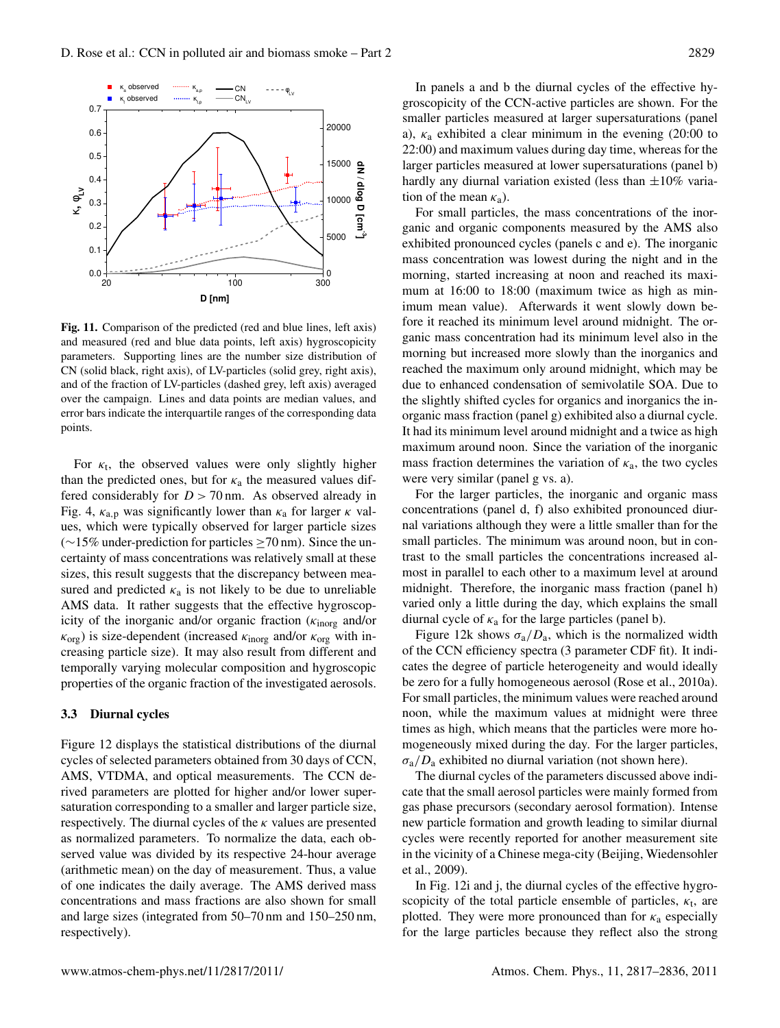

**Fig. 11.** Comparison of the predicted (red and blue lines, left axis) and measured (red and blue data points, left axis) hygroscopicity parameters. Supporting lines are the number size distribution of CN (solid black, right axis), of LV-particles (solid grey, right axis), and of the fraction of LV-particles (dashed grey, left axis) averaged over the campaign. Lines and data points are median values, and error bars indicate the interquartile ranges of the corresponding data points.

For  $\kappa_t$ , the observed values were only slightly higher than the predicted ones, but for  $\kappa_a$  the measured values differed considerably for  $D > 70$  nm. As observed already in Fig. 4,  $\kappa_{a,b}$  was significantly lower than  $\kappa_a$  for larger  $\kappa$  values, which were typically observed for larger particle sizes (∼15% under-prediction for particles ≥70 nm). Since the uncertainty of mass concentrations was relatively small at these sizes, this result suggests that the discrepancy between measured and predicted  $\kappa_a$  is not likely to be due to unreliable AMS data. It rather suggests that the effective hygroscopicity of the inorganic and/or organic fraction  $(\kappa_{\text{inorg}})$  and/or  $\kappa_{\text{org}}$ ) is size-dependent (increased  $\kappa_{\text{inorg}}$  and/or  $\kappa_{\text{org}}$  with increasing particle size). It may also result from different and temporally varying molecular composition and hygroscopic properties of the organic fraction of the investigated aerosols.

#### **3.3 Diurnal cycles**

Figure 12 displays the statistical distributions of the diurnal cycles of selected parameters obtained from 30 days of CCN, AMS, VTDMA, and optical measurements. The CCN derived parameters are plotted for higher and/or lower supersaturation corresponding to a smaller and larger particle size, respectively. The diurnal cycles of the  $\kappa$  values are presented as normalized parameters. To normalize the data, each observed value was divided by its respective 24-hour average (arithmetic mean) on the day of measurement. Thus, a value of one indicates the daily average. The AMS derived mass concentrations and mass fractions are also shown for small and large sizes (integrated from 50–70 nm and 150–250 nm, respectively).

In panels a and b the diurnal cycles of the effective hygroscopicity of the CCN-active particles are shown. For the smaller particles measured at larger supersaturations (panel a),  $\kappa_a$  exhibited a clear minimum in the evening (20:00 to 22:00) and maximum values during day time, whereas for the larger particles measured at lower supersaturations (panel b) hardly any diurnal variation existed (less than  $\pm 10\%$  variation of the mean  $\kappa_a$ ).

For small particles, the mass concentrations of the inorganic and organic components measured by the AMS also exhibited pronounced cycles (panels c and e). The inorganic mass concentration was lowest during the night and in the morning, started increasing at noon and reached its maximum at 16:00 to 18:00 (maximum twice as high as minimum mean value). Afterwards it went slowly down before it reached its minimum level around midnight. The organic mass concentration had its minimum level also in the morning but increased more slowly than the inorganics and reached the maximum only around midnight, which may be due to enhanced condensation of semivolatile SOA. Due to the slightly shifted cycles for organics and inorganics the inorganic mass fraction (panel g) exhibited also a diurnal cycle. It had its minimum level around midnight and a twice as high maximum around noon. Since the variation of the inorganic mass fraction determines the variation of  $\kappa_a$ , the two cycles were very similar (panel g vs. a).

For the larger particles, the inorganic and organic mass concentrations (panel d, f) also exhibited pronounced diurnal variations although they were a little smaller than for the small particles. The minimum was around noon, but in contrast to the small particles the concentrations increased almost in parallel to each other to a maximum level at around midnight. Therefore, the inorganic mass fraction (panel h) varied only a little during the day, which explains the small diurnal cycle of  $\kappa_a$  for the large particles (panel b).

Figure 12k shows  $\sigma_a/D_a$ , which is the normalized width of the CCN efficiency spectra (3 parameter CDF fit). It indicates the degree of particle heterogeneity and would ideally be zero for a fully homogeneous aerosol (Rose et al., 2010a). For small particles, the minimum values were reached around noon, while the maximum values at midnight were three times as high, which means that the particles were more homogeneously mixed during the day. For the larger particles,  $\sigma_a/D_a$  exhibited no diurnal variation (not shown here).

The diurnal cycles of the parameters discussed above indicate that the small aerosol particles were mainly formed from gas phase precursors (secondary aerosol formation). Intense new particle formation and growth leading to similar diurnal cycles were recently reported for another measurement site in the vicinity of a Chinese mega-city (Beijing, Wiedensohler et al., 2009).

In Fig. 12i and j, the diurnal cycles of the effective hygroscopicity of the total particle ensemble of particles,  $\kappa_t$ , are plotted. They were more pronounced than for  $\kappa_a$  especially for the large particles because they reflect also the strong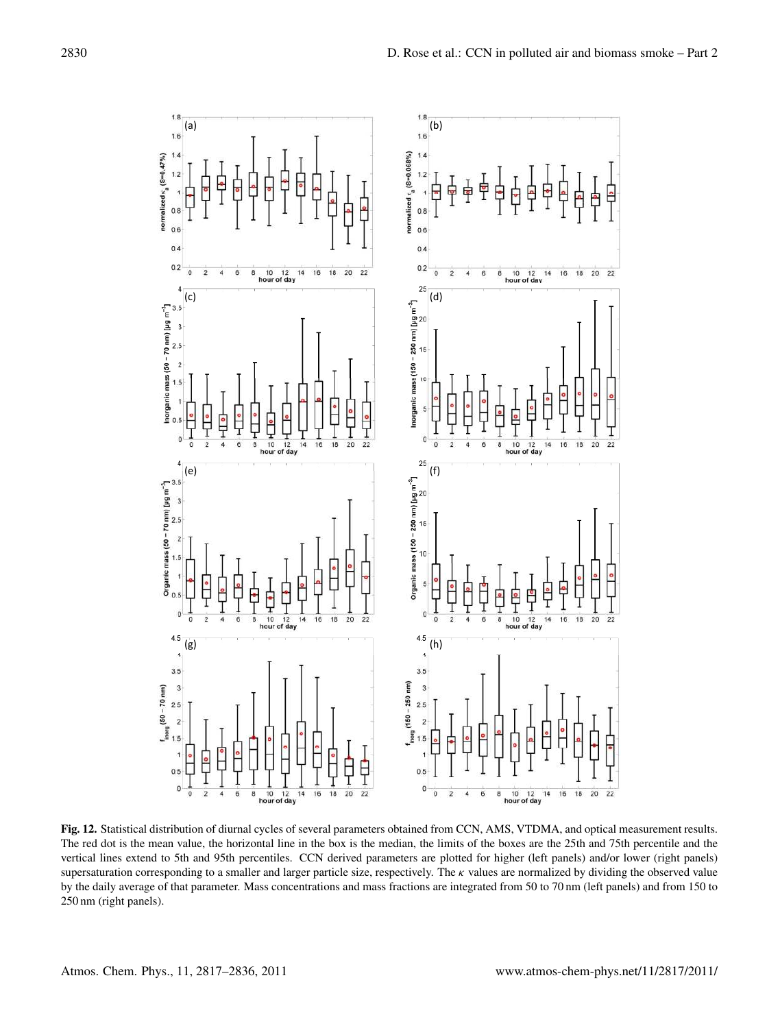

**Fig. 12.** Statistical distribution of diurnal cycles of several parameters obtained from CCN, AMS, VTDMA, and optical measurement results. The red dot is the mean value, the horizontal line in the box is the median, the limits of the boxes are the 25th and 75th percentile and the vertical lines extend to 5th and 95th percentiles. CCN derived parameters are plotted for higher (left panels) and/or lower (right panels) supersaturation corresponding to a smaller and larger particle size, respectively. The  $\kappa$  values are normalized by dividing the observed value by the daily average of that parameter. Mass concentrations and mass fractions are integrated from 50 to 70 nm (left panels) and from 150 to 250 nm (right panels).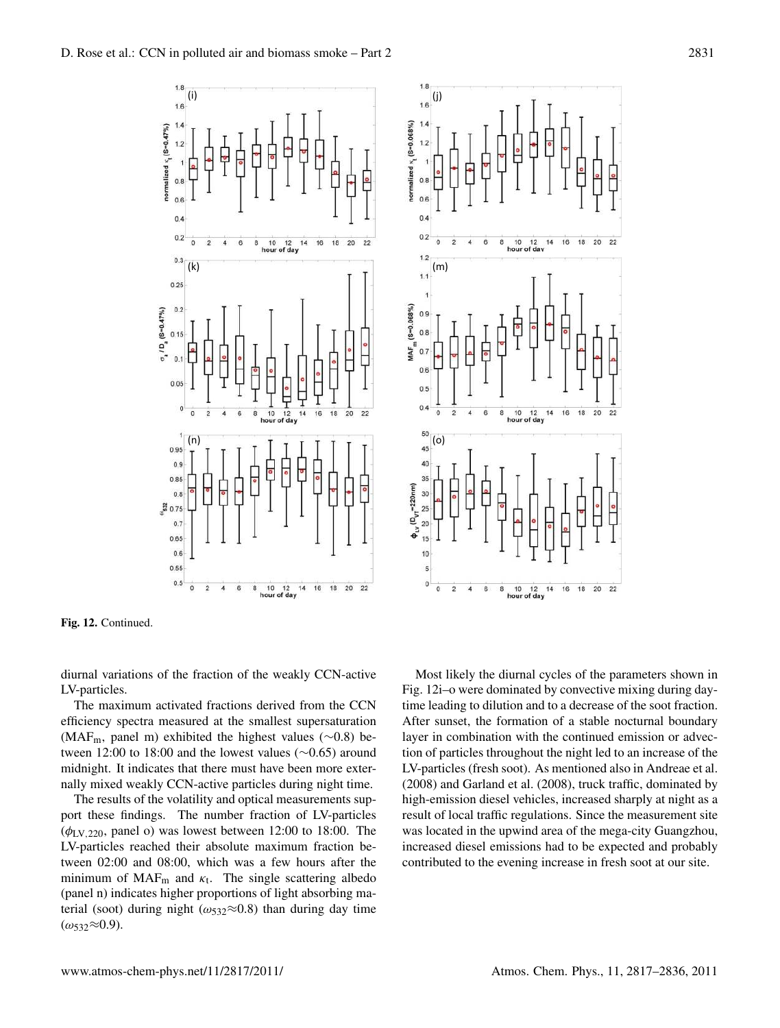



**Fig. 12.** Continued.

diurnal variations of the fraction of the weakly CCN-active LV-particles.

The maximum activated fractions derived from the CCN efficiency spectra measured at the smallest supersaturation (MAFm, panel m) exhibited the highest values (∼0.8) between 12:00 to 18:00 and the lowest values (∼0.65) around midnight. It indicates that there must have been more externally mixed weakly CCN-active particles during night time.

The results of the volatility and optical measurements support these findings. The number fraction of LV-particles  $(\phi_{LV,220},$  panel o) was lowest between 12:00 to 18:00. The LV-particles reached their absolute maximum fraction between 02:00 and 08:00, which was a few hours after the minimum of  $\text{MAF}_{\text{m}}$  and  $\kappa_t$ . The single scattering albedo (panel n) indicates higher proportions of light absorbing material (soot) during night ( $\omega_{532} \approx 0.8$ ) than during day time  $(\omega_{532} \approx 0.9)$ .

Most likely the diurnal cycles of the parameters shown in Fig. 12i–o were dominated by convective mixing during daytime leading to dilution and to a decrease of the soot fraction. After sunset, the formation of a stable nocturnal boundary layer in combination with the continued emission or advection of particles throughout the night led to an increase of the LV-particles (fresh soot). As mentioned also in Andreae et al. (2008) and Garland et al. (2008), truck traffic, dominated by high-emission diesel vehicles, increased sharply at night as a result of local traffic regulations. Since the measurement site was located in the upwind area of the mega-city Guangzhou, increased diesel emissions had to be expected and probably contributed to the evening increase in fresh soot at our site.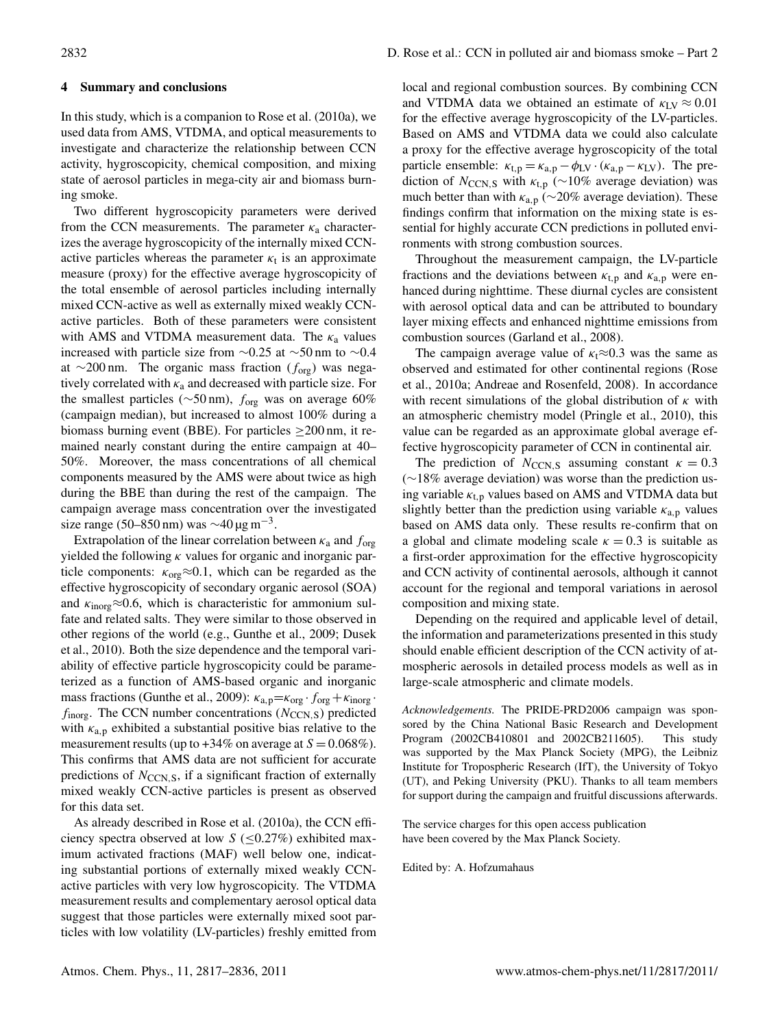## **4 Summary and conclusions**

In this study, which is a companion to Rose et al. (2010a), we used data from AMS, VTDMA, and optical measurements to investigate and characterize the relationship between CCN activity, hygroscopicity, chemical composition, and mixing state of aerosol particles in mega-city air and biomass burning smoke.

Two different hygroscopicity parameters were derived from the CCN measurements. The parameter  $\kappa_a$  characterizes the average hygroscopicity of the internally mixed CCNactive particles whereas the parameter  $\kappa_t$  is an approximate measure (proxy) for the effective average hygroscopicity of the total ensemble of aerosol particles including internally mixed CCN-active as well as externally mixed weakly CCNactive particles. Both of these parameters were consistent with AMS and VTDMA measurement data. The  $\kappa_a$  values increased with particle size from ∼0.25 at ∼50 nm to ∼0.4 at ∼200 nm. The organic mass fraction (forg) was negatively correlated with  $\kappa_a$  and decreased with particle size. For the smallest particles ( $\sim$ 50 nm),  $f_{\text{org}}$  was on average 60% (campaign median), but increased to almost 100% during a biomass burning event (BBE). For particles  $\geq$ 200 nm, it remained nearly constant during the entire campaign at 40– 50%. Moreover, the mass concentrations of all chemical components measured by the AMS were about twice as high during the BBE than during the rest of the campaign. The campaign average mass concentration over the investigated size range (50–850 nm) was  $\sim$ 40 µg m<sup>-3</sup>.

Extrapolation of the linear correlation between  $\kappa_a$  and  $f_{org}$ yielded the following  $\kappa$  values for organic and inorganic particle components:  $\kappa_{org} \approx 0.1$ , which can be regarded as the effective hygroscopicity of secondary organic aerosol (SOA) and  $\kappa_{\text{inorg}} \approx 0.6$ , which is characteristic for ammonium sulfate and related salts. They were similar to those observed in other regions of the world (e.g., Gunthe et al., 2009; Dusek et al., 2010). Both the size dependence and the temporal variability of effective particle hygroscopicity could be parameterized as a function of AMS-based organic and inorganic mass fractions (Gunthe et al., 2009):  $\kappa_{a,p} = \kappa_{org} \cdot f_{org} + \kappa_{inorg} \cdot f_{ref}$  $f_{\text{inorg}}$ . The CCN number concentrations ( $N_{\text{CCN}}$ <sub>S</sub>) predicted with  $\kappa_{a,p}$  exhibited a substantial positive bias relative to the measurement results (up to  $+34\%$  on average at  $S = 0.068\%$ ). This confirms that AMS data are not sufficient for accurate predictions of  $N_{\text{CCN.S.}}$  if a significant fraction of externally mixed weakly CCN-active particles is present as observed for this data set.

As already described in Rose et al. (2010a), the CCN efficiency spectra observed at low  $S \leq 0.27\%$  exhibited maximum activated fractions (MAF) well below one, indicating substantial portions of externally mixed weakly CCNactive particles with very low hygroscopicity. The VTDMA measurement results and complementary aerosol optical data suggest that those particles were externally mixed soot particles with low volatility (LV-particles) freshly emitted from local and regional combustion sources. By combining CCN and VTDMA data we obtained an estimate of  $\kappa_{\rm LV} \approx 0.01$ for the effective average hygroscopicity of the LV-particles. Based on AMS and VTDMA data we could also calculate a proxy for the effective average hygroscopicity of the total particle ensemble:  $\kappa_{t,p} = \kappa_{a,p} - \phi_{LV} \cdot (\kappa_{a,p} - \kappa_{LV})$ . The prediction of  $N_{\text{CCN},S}$  with  $\kappa_{t,p}$  (~10% average deviation) was much better than with  $\kappa_{a,p}$  (∼20% average deviation). These findings confirm that information on the mixing state is essential for highly accurate CCN predictions in polluted environments with strong combustion sources.

Throughout the measurement campaign, the LV-particle fractions and the deviations between  $\kappa_{t,p}$  and  $\kappa_{a,p}$  were enhanced during nighttime. These diurnal cycles are consistent with aerosol optical data and can be attributed to boundary layer mixing effects and enhanced nighttime emissions from combustion sources (Garland et al., 2008).

The campaign average value of  $\kappa_t \approx 0.3$  was the same as observed and estimated for other continental regions (Rose et al., 2010a; Andreae and Rosenfeld, 2008). In accordance with recent simulations of the global distribution of  $\kappa$  with an atmospheric chemistry model (Pringle et al., 2010), this value can be regarded as an approximate global average effective hygroscopicity parameter of CCN in continental air.

The prediction of  $N_{\text{CCN},S}$  assuming constant  $\kappa = 0.3$ (∼18% average deviation) was worse than the prediction using variable  $\kappa_{t,p}$  values based on AMS and VTDMA data but slightly better than the prediction using variable  $\kappa_{a,p}$  values based on AMS data only. These results re-confirm that on a global and climate modeling scale  $\kappa = 0.3$  is suitable as a first-order approximation for the effective hygroscopicity and CCN activity of continental aerosols, although it cannot account for the regional and temporal variations in aerosol composition and mixing state.

Depending on the required and applicable level of detail, the information and parameterizations presented in this study should enable efficient description of the CCN activity of atmospheric aerosols in detailed process models as well as in large-scale atmospheric and climate models.

*Acknowledgements.* The PRIDE-PRD2006 campaign was sponsored by the China National Basic Research and Development Program (2002CB410801 and 2002CB211605). This study was supported by the Max Planck Society (MPG), the Leibniz Institute for Tropospheric Research (IfT), the University of Tokyo (UT), and Peking University (PKU). Thanks to all team members for support during the campaign and fruitful discussions afterwards.

The service charges for this open access publication have been covered by the Max Planck Society.

Edited by: A. Hofzumahaus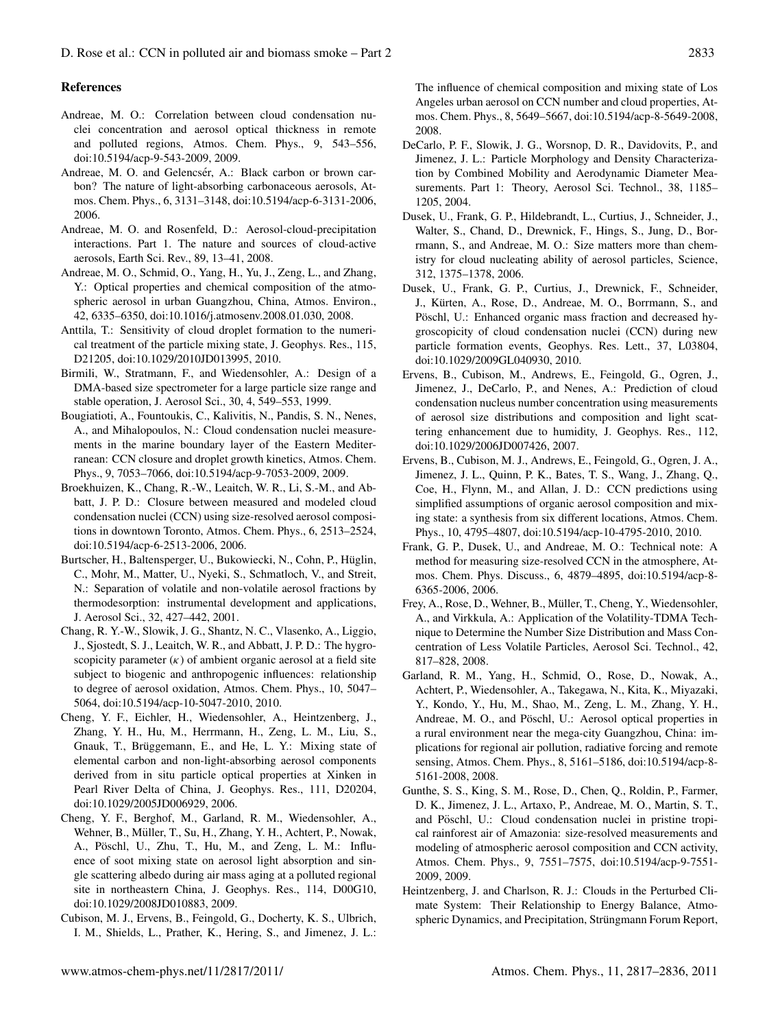# **References**

- Andreae, M. O.: Correlation between cloud condensation nuclei concentration and aerosol optical thickness in remote and polluted regions, Atmos. Chem. Phys., 9, 543–556, doi:10.5194/acp-9-543-2009, 2009.
- Andreae, M. O. and Gelencsér, A.: Black carbon or brown carbon? The nature of light-absorbing carbonaceous aerosols, Atmos. Chem. Phys., 6, 3131–3148, doi:10.5194/acp-6-3131-2006, 2006.
- Andreae, M. O. and Rosenfeld, D.: Aerosol-cloud-precipitation interactions. Part 1. The nature and sources of cloud-active aerosols, Earth Sci. Rev., 89, 13–41, 2008.
- Andreae, M. O., Schmid, O., Yang, H., Yu, J., Zeng, L., and Zhang, Y.: Optical properties and chemical composition of the atmospheric aerosol in urban Guangzhou, China, Atmos. Environ., 42, 6335–6350, doi:10.1016/j.atmosenv.2008.01.030, 2008.
- Anttila, T.: Sensitivity of cloud droplet formation to the numerical treatment of the particle mixing state, J. Geophys. Res., 115, D21205, doi:10.1029/2010JD013995, 2010.
- Birmili, W., Stratmann, F., and Wiedensohler, A.: Design of a DMA-based size spectrometer for a large particle size range and stable operation, J. Aerosol Sci., 30, 4, 549–553, 1999.
- Bougiatioti, A., Fountoukis, C., Kalivitis, N., Pandis, S. N., Nenes, A., and Mihalopoulos, N.: Cloud condensation nuclei measurements in the marine boundary layer of the Eastern Mediterranean: CCN closure and droplet growth kinetics, Atmos. Chem. Phys., 9, 7053–7066, doi:10.5194/acp-9-7053-2009, 2009.
- Broekhuizen, K., Chang, R.-W., Leaitch, W. R., Li, S.-M., and Abbatt, J. P. D.: Closure between measured and modeled cloud condensation nuclei (CCN) using size-resolved aerosol compositions in downtown Toronto, Atmos. Chem. Phys., 6, 2513–2524, doi:10.5194/acp-6-2513-2006, 2006.
- Burtscher, H., Baltensperger, U., Bukowiecki, N., Cohn, P., Huglin, ¨ C., Mohr, M., Matter, U., Nyeki, S., Schmatloch, V., and Streit, N.: Separation of volatile and non-volatile aerosol fractions by thermodesorption: instrumental development and applications, J. Aerosol Sci., 32, 427–442, 2001.
- Chang, R. Y.-W., Slowik, J. G., Shantz, N. C., Vlasenko, A., Liggio, J., Sjostedt, S. J., Leaitch, W. R., and Abbatt, J. P. D.: The hygroscopicity parameter  $(\kappa)$  of ambient organic aerosol at a field site subject to biogenic and anthropogenic influences: relationship to degree of aerosol oxidation, Atmos. Chem. Phys., 10, 5047– 5064, doi:10.5194/acp-10-5047-2010, 2010.
- Cheng, Y. F., Eichler, H., Wiedensohler, A., Heintzenberg, J., Zhang, Y. H., Hu, M., Herrmann, H., Zeng, L. M., Liu, S., Gnauk, T., Brüggemann, E., and He, L. Y.: Mixing state of elemental carbon and non-light-absorbing aerosol components derived from in situ particle optical properties at Xinken in Pearl River Delta of China, J. Geophys. Res., 111, D20204, doi:10.1029/2005JD006929, 2006.
- Cheng, Y. F., Berghof, M., Garland, R. M., Wiedensohler, A., Wehner, B., Müller, T., Su, H., Zhang, Y. H., Achtert, P., Nowak, A., Pöschl, U., Zhu, T., Hu, M., and Zeng, L. M.: Influence of soot mixing state on aerosol light absorption and single scattering albedo during air mass aging at a polluted regional site in northeastern China, J. Geophys. Res., 114, D00G10, doi:10.1029/2008JD010883, 2009.
- Cubison, M. J., Ervens, B., Feingold, G., Docherty, K. S., Ulbrich, I. M., Shields, L., Prather, K., Hering, S., and Jimenez, J. L.:

The influence of chemical composition and mixing state of Los Angeles urban aerosol on CCN number and cloud properties, Atmos. Chem. Phys., 8, 5649–5667, doi:10.5194/acp-8-5649-2008, 2008.

- DeCarlo, P. F., Slowik, J. G., Worsnop, D. R., Davidovits, P., and Jimenez, J. L.: Particle Morphology and Density Characterization by Combined Mobility and Aerodynamic Diameter Measurements. Part 1: Theory, Aerosol Sci. Technol., 38, 1185– 1205, 2004.
- Dusek, U., Frank, G. P., Hildebrandt, L., Curtius, J., Schneider, J., Walter, S., Chand, D., Drewnick, F., Hings, S., Jung, D., Borrmann, S., and Andreae, M. O.: Size matters more than chemistry for cloud nucleating ability of aerosol particles, Science, 312, 1375–1378, 2006.
- Dusek, U., Frank, G. P., Curtius, J., Drewnick, F., Schneider, J., Kürten, A., Rose, D., Andreae, M. O., Borrmann, S., and Pöschl, U.: Enhanced organic mass fraction and decreased hygroscopicity of cloud condensation nuclei (CCN) during new particle formation events, Geophys. Res. Lett., 37, L03804, doi:10.1029/2009GL040930, 2010.
- Ervens, B., Cubison, M., Andrews, E., Feingold, G., Ogren, J., Jimenez, J., DeCarlo, P., and Nenes, A.: Prediction of cloud condensation nucleus number concentration using measurements of aerosol size distributions and composition and light scattering enhancement due to humidity, J. Geophys. Res., 112, doi:10.1029/2006JD007426, 2007.
- Ervens, B., Cubison, M. J., Andrews, E., Feingold, G., Ogren, J. A., Jimenez, J. L., Quinn, P. K., Bates, T. S., Wang, J., Zhang, Q., Coe, H., Flynn, M., and Allan, J. D.: CCN predictions using simplified assumptions of organic aerosol composition and mixing state: a synthesis from six different locations, Atmos. Chem. Phys., 10, 4795–4807, doi:10.5194/acp-10-4795-2010, 2010.
- Frank, G. P., Dusek, U., and Andreae, M. O.: Technical note: A method for measuring size-resolved CCN in the atmosphere, Atmos. Chem. Phys. Discuss., 6, 4879–4895, doi:10.5194/acp-8- 6365-2006, 2006.
- Frey, A., Rose, D., Wehner, B., Müller, T., Cheng, Y., Wiedensohler, A., and Virkkula, A.: Application of the Volatility-TDMA Technique to Determine the Number Size Distribution and Mass Concentration of Less Volatile Particles, Aerosol Sci. Technol., 42, 817–828, 2008.
- Garland, R. M., Yang, H., Schmid, O., Rose, D., Nowak, A., Achtert, P., Wiedensohler, A., Takegawa, N., Kita, K., Miyazaki, Y., Kondo, Y., Hu, M., Shao, M., Zeng, L. M., Zhang, Y. H., Andreae, M. O., and Pöschl, U.: Aerosol optical properties in a rural environment near the mega-city Guangzhou, China: implications for regional air pollution, radiative forcing and remote sensing, Atmos. Chem. Phys., 8, 5161–5186, doi:10.5194/acp-8- 5161-2008, 2008.
- Gunthe, S. S., King, S. M., Rose, D., Chen, Q., Roldin, P., Farmer, D. K., Jimenez, J. L., Artaxo, P., Andreae, M. O., Martin, S. T., and Pöschl, U.: Cloud condensation nuclei in pristine tropical rainforest air of Amazonia: size-resolved measurements and modeling of atmospheric aerosol composition and CCN activity, Atmos. Chem. Phys., 9, 7551–7575, doi:10.5194/acp-9-7551- 2009, 2009.
- Heintzenberg, J. and Charlson, R. J.: Clouds in the Perturbed Climate System: Their Relationship to Energy Balance, Atmospheric Dynamics, and Precipitation, Strüngmann Forum Report,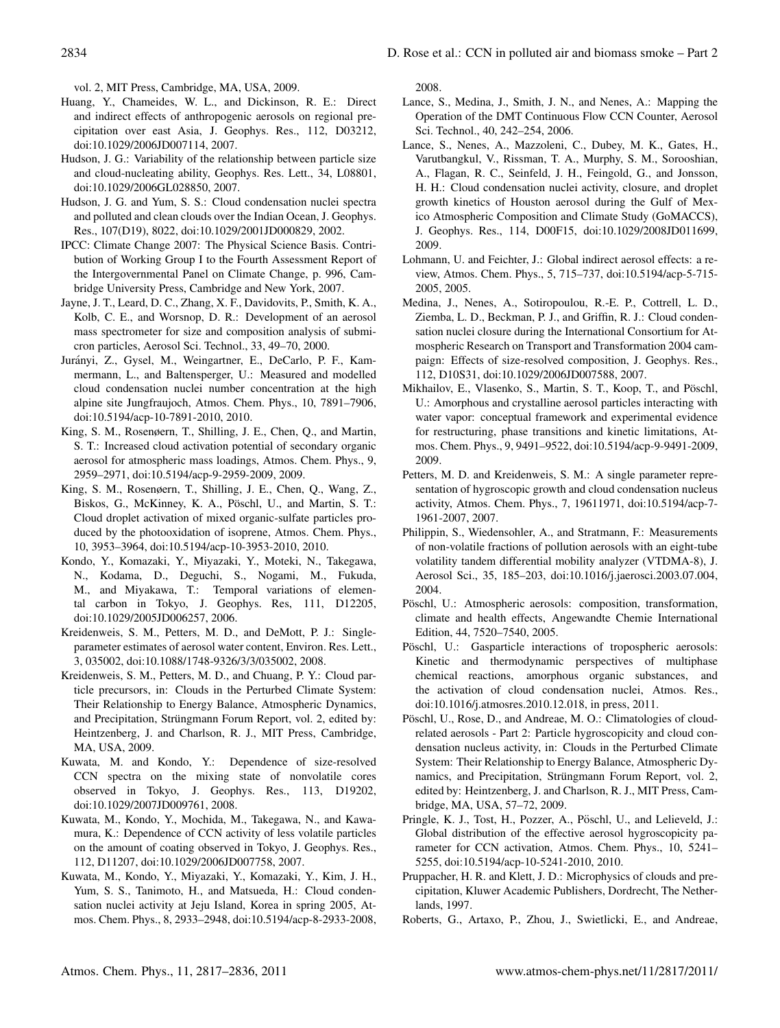vol. 2, MIT Press, Cambridge, MA, USA, 2009.

- Huang, Y., Chameides, W. L., and Dickinson, R. E.: Direct and indirect effects of anthropogenic aerosols on regional precipitation over east Asia, J. Geophys. Res., 112, D03212, doi:10.1029/2006JD007114, 2007.
- Hudson, J. G.: Variability of the relationship between particle size and cloud-nucleating ability, Geophys. Res. Lett., 34, L08801, doi:10.1029/2006GL028850, 2007.
- Hudson, J. G. and Yum, S. S.: Cloud condensation nuclei spectra and polluted and clean clouds over the Indian Ocean, J. Geophys. Res., 107(D19), 8022, doi:10.1029/2001JD000829, 2002.
- IPCC: Climate Change 2007: The Physical Science Basis. Contribution of Working Group I to the Fourth Assessment Report of the Intergovernmental Panel on Climate Change, p. 996, Cambridge University Press, Cambridge and New York, 2007.
- Jayne, J. T., Leard, D. C., Zhang, X. F., Davidovits, P., Smith, K. A., Kolb, C. E., and Worsnop, D. R.: Development of an aerosol mass spectrometer for size and composition analysis of submicron particles, Aerosol Sci. Technol., 33, 49–70, 2000.
- Juranyi, Z., Gysel, M., Weingartner, E., DeCarlo, P. F., Kam- ´ mermann, L., and Baltensperger, U.: Measured and modelled cloud condensation nuclei number concentration at the high alpine site Jungfraujoch, Atmos. Chem. Phys., 10, 7891–7906, doi:10.5194/acp-10-7891-2010, 2010.
- King, S. M., Rosenøern, T., Shilling, J. E., Chen, Q., and Martin, S. T.: Increased cloud activation potential of secondary organic aerosol for atmospheric mass loadings, Atmos. Chem. Phys., 9, 2959–2971, doi:10.5194/acp-9-2959-2009, 2009.
- King, S. M., Rosenøern, T., Shilling, J. E., Chen, Q., Wang, Z., Biskos, G., McKinney, K. A., Pöschl, U., and Martin, S. T.: Cloud droplet activation of mixed organic-sulfate particles produced by the photooxidation of isoprene, Atmos. Chem. Phys., 10, 3953–3964, doi:10.5194/acp-10-3953-2010, 2010.
- Kondo, Y., Komazaki, Y., Miyazaki, Y., Moteki, N., Takegawa, N., Kodama, D., Deguchi, S., Nogami, M., Fukuda, M., and Miyakawa, T.: Temporal variations of elemental carbon in Tokyo, J. Geophys. Res, 111, D12205, doi:10.1029/2005JD006257, 2006.
- Kreidenweis, S. M., Petters, M. D., and DeMott, P. J.: Singleparameter estimates of aerosol water content, Environ. Res. Lett., 3, 035002, doi:10.1088/1748-9326/3/3/035002, 2008.
- Kreidenweis, S. M., Petters, M. D., and Chuang, P. Y.: Cloud particle precursors, in: Clouds in the Perturbed Climate System: Their Relationship to Energy Balance, Atmospheric Dynamics, and Precipitation, Strüngmann Forum Report, vol. 2, edited by: Heintzenberg, J. and Charlson, R. J., MIT Press, Cambridge, MA, USA, 2009.
- Kuwata, M. and Kondo, Y.: Dependence of size-resolved CCN spectra on the mixing state of nonvolatile cores observed in Tokyo, J. Geophys. Res., 113, D19202, doi:10.1029/2007JD009761, 2008.
- Kuwata, M., Kondo, Y., Mochida, M., Takegawa, N., and Kawamura, K.: Dependence of CCN activity of less volatile particles on the amount of coating observed in Tokyo, J. Geophys. Res., 112, D11207, doi:10.1029/2006JD007758, 2007.
- Kuwata, M., Kondo, Y., Miyazaki, Y., Komazaki, Y., Kim, J. H., Yum, S. S., Tanimoto, H., and Matsueda, H.: Cloud condensation nuclei activity at Jeju Island, Korea in spring 2005, Atmos. Chem. Phys., 8, 2933–2948, doi:10.5194/acp-8-2933-2008,

2008.

- Lance, S., Medina, J., Smith, J. N., and Nenes, A.: Mapping the Operation of the DMT Continuous Flow CCN Counter, Aerosol Sci. Technol., 40, 242–254, 2006.
- Lance, S., Nenes, A., Mazzoleni, C., Dubey, M. K., Gates, H., Varutbangkul, V., Rissman, T. A., Murphy, S. M., Sorooshian, A., Flagan, R. C., Seinfeld, J. H., Feingold, G., and Jonsson, H. H.: Cloud condensation nuclei activity, closure, and droplet growth kinetics of Houston aerosol during the Gulf of Mexico Atmospheric Composition and Climate Study (GoMACCS), J. Geophys. Res., 114, D00F15, doi:10.1029/2008JD011699, 2009.
- Lohmann, U. and Feichter, J.: Global indirect aerosol effects: a review, Atmos. Chem. Phys., 5, 715–737, doi:10.5194/acp-5-715- 2005, 2005.
- Medina, J., Nenes, A., Sotiropoulou, R.-E. P., Cottrell, L. D., Ziemba, L. D., Beckman, P. J., and Griffin, R. J.: Cloud condensation nuclei closure during the International Consortium for Atmospheric Research on Transport and Transformation 2004 campaign: Effects of size-resolved composition, J. Geophys. Res., 112, D10S31, doi:10.1029/2006JD007588, 2007.
- Mikhailov, E., Vlasenko, S., Martin, S. T., Koop, T., and Pöschl, U.: Amorphous and crystalline aerosol particles interacting with water vapor: conceptual framework and experimental evidence for restructuring, phase transitions and kinetic limitations, Atmos. Chem. Phys., 9, 9491–9522, doi:10.5194/acp-9-9491-2009, 2009.
- Petters, M. D. and Kreidenweis, S. M.: A single parameter representation of hygroscopic growth and cloud condensation nucleus activity, Atmos. Chem. Phys., 7, 19611971, doi:10.5194/acp-7- 1961-2007, 2007.
- Philippin, S., Wiedensohler, A., and Stratmann, F.: Measurements of non-volatile fractions of pollution aerosols with an eight-tube volatility tandem differential mobility analyzer (VTDMA-8), J. Aerosol Sci., 35, 185–203, doi:10.1016/j.jaerosci.2003.07.004, 2004.
- Pöschl, U.: Atmospheric aerosols: composition, transformation, climate and health effects, Angewandte Chemie International Edition, 44, 7520–7540, 2005.
- Pöschl, U.: Gasparticle interactions of tropospheric aerosols: Kinetic and thermodynamic perspectives of multiphase chemical reactions, amorphous organic substances, and the activation of cloud condensation nuclei, Atmos. Res., doi:10.1016/j.atmosres.2010.12.018, in press, 2011.
- Pöschl, U., Rose, D., and Andreae, M. O.: Climatologies of cloudrelated aerosols - Part 2: Particle hygroscopicity and cloud condensation nucleus activity, in: Clouds in the Perturbed Climate System: Their Relationship to Energy Balance, Atmospheric Dynamics, and Precipitation, Strüngmann Forum Report, vol. 2, edited by: Heintzenberg, J. and Charlson, R. J., MIT Press, Cambridge, MA, USA, 57–72, 2009.
- Pringle, K. J., Tost, H., Pozzer, A., Pöschl, U., and Lelieveld, J.: Global distribution of the effective aerosol hygroscopicity parameter for CCN activation, Atmos. Chem. Phys., 10, 5241– 5255, doi:10.5194/acp-10-5241-2010, 2010.
- Pruppacher, H. R. and Klett, J. D.: Microphysics of clouds and precipitation, Kluwer Academic Publishers, Dordrecht, The Netherlands, 1997.
- Roberts, G., Artaxo, P., Zhou, J., Swietlicki, E., and Andreae,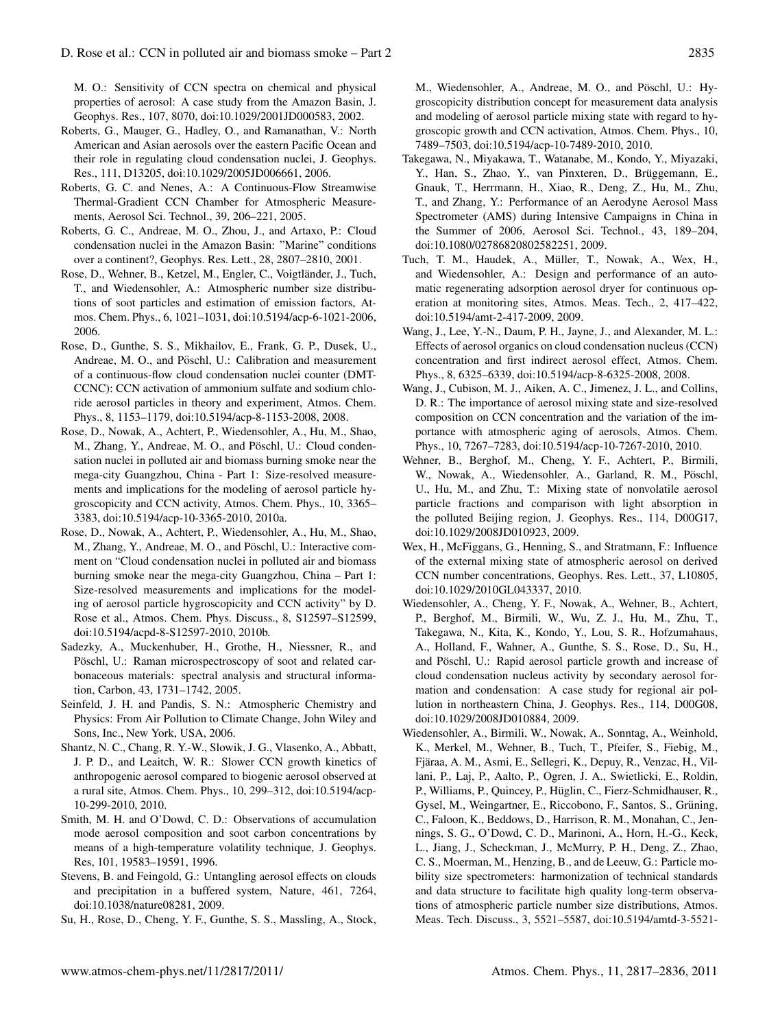M. O.: Sensitivity of CCN spectra on chemical and physical properties of aerosol: A case study from the Amazon Basin, J. Geophys. Res., 107, 8070, doi:10.1029/2001JD000583, 2002.

- Roberts, G., Mauger, G., Hadley, O., and Ramanathan, V.: North American and Asian aerosols over the eastern Pacific Ocean and their role in regulating cloud condensation nuclei, J. Geophys. Res., 111, D13205, doi:10.1029/2005JD006661, 2006.
- Roberts, G. C. and Nenes, A.: A Continuous-Flow Streamwise Thermal-Gradient CCN Chamber for Atmospheric Measurements, Aerosol Sci. Technol., 39, 206–221, 2005.
- Roberts, G. C., Andreae, M. O., Zhou, J., and Artaxo, P.: Cloud condensation nuclei in the Amazon Basin: "Marine" conditions over a continent?, Geophys. Res. Lett., 28, 2807–2810, 2001.
- Rose, D., Wehner, B., Ketzel, M., Engler, C., Voigtländer, J., Tuch, T., and Wiedensohler, A.: Atmospheric number size distributions of soot particles and estimation of emission factors, Atmos. Chem. Phys., 6, 1021–1031, doi:10.5194/acp-6-1021-2006, 2006.
- Rose, D., Gunthe, S. S., Mikhailov, E., Frank, G. P., Dusek, U., Andreae, M. O., and Pöschl, U.: Calibration and measurement of a continuous-flow cloud condensation nuclei counter (DMT-CCNC): CCN activation of ammonium sulfate and sodium chloride aerosol particles in theory and experiment, Atmos. Chem. Phys., 8, 1153–1179, doi:10.5194/acp-8-1153-2008, 2008.
- Rose, D., Nowak, A., Achtert, P., Wiedensohler, A., Hu, M., Shao, M., Zhang, Y., Andreae, M. O., and Pöschl, U.: Cloud condensation nuclei in polluted air and biomass burning smoke near the mega-city Guangzhou, China - Part 1: Size-resolved measurements and implications for the modeling of aerosol particle hygroscopicity and CCN activity, Atmos. Chem. Phys., 10, 3365– 3383, doi:10.5194/acp-10-3365-2010, 2010a.
- Rose, D., Nowak, A., Achtert, P., Wiedensohler, A., Hu, M., Shao, M., Zhang, Y., Andreae, M. O., and Pöschl, U.: Interactive comment on "Cloud condensation nuclei in polluted air and biomass burning smoke near the mega-city Guangzhou, China – Part 1: Size-resolved measurements and implications for the modeling of aerosol particle hygroscopicity and CCN activity" by D. Rose et al., Atmos. Chem. Phys. Discuss., 8, S12597–S12599, doi:10.5194/acpd-8-S12597-2010, 2010b.
- Sadezky, A., Muckenhuber, H., Grothe, H., Niessner, R., and Pöschl, U.: Raman microspectroscopy of soot and related carbonaceous materials: spectral analysis and structural information, Carbon, 43, 1731–1742, 2005.
- Seinfeld, J. H. and Pandis, S. N.: Atmospheric Chemistry and Physics: From Air Pollution to Climate Change, John Wiley and Sons, Inc., New York, USA, 2006.
- Shantz, N. C., Chang, R. Y.-W., Slowik, J. G., Vlasenko, A., Abbatt, J. P. D., and Leaitch, W. R.: Slower CCN growth kinetics of anthropogenic aerosol compared to biogenic aerosol observed at a rural site, Atmos. Chem. Phys., 10, 299–312, doi:10.5194/acp-10-299-2010, 2010.
- Smith, M. H. and O'Dowd, C. D.: Observations of accumulation mode aerosol composition and soot carbon concentrations by means of a high-temperature volatility technique, J. Geophys. Res, 101, 19583–19591, 1996.
- Stevens, B. and Feingold, G.: Untangling aerosol effects on clouds and precipitation in a buffered system, Nature, 461, 7264, doi:10.1038/nature08281, 2009.
- Su, H., Rose, D., Cheng, Y. F., Gunthe, S. S., Massling, A., Stock,

M., Wiedensohler, A., Andreae, M. O., and Pöschl, U.: Hygroscopicity distribution concept for measurement data analysis and modeling of aerosol particle mixing state with regard to hygroscopic growth and CCN activation, Atmos. Chem. Phys., 10, 7489–7503, doi:10.5194/acp-10-7489-2010, 2010.

- Takegawa, N., Miyakawa, T., Watanabe, M., Kondo, Y., Miyazaki, Y., Han, S., Zhao, Y., van Pinxteren, D., Brüggemann, E., Gnauk, T., Herrmann, H., Xiao, R., Deng, Z., Hu, M., Zhu, T., and Zhang, Y.: Performance of an Aerodyne Aerosol Mass Spectrometer (AMS) during Intensive Campaigns in China in the Summer of 2006, Aerosol Sci. Technol., 43, 189–204, doi:10.1080/02786820802582251, 2009.
- Tuch, T. M., Haudek, A., Müller, T., Nowak, A., Wex, H., and Wiedensohler, A.: Design and performance of an automatic regenerating adsorption aerosol dryer for continuous operation at monitoring sites, Atmos. Meas. Tech., 2, 417–422, doi:10.5194/amt-2-417-2009, 2009.
- Wang, J., Lee, Y.-N., Daum, P. H., Jayne, J., and Alexander, M. L.: Effects of aerosol organics on cloud condensation nucleus (CCN) concentration and first indirect aerosol effect, Atmos. Chem. Phys., 8, 6325–6339, doi:10.5194/acp-8-6325-2008, 2008.
- Wang, J., Cubison, M. J., Aiken, A. C., Jimenez, J. L., and Collins, D. R.: The importance of aerosol mixing state and size-resolved composition on CCN concentration and the variation of the importance with atmospheric aging of aerosols, Atmos. Chem. Phys., 10, 7267–7283, doi:10.5194/acp-10-7267-2010, 2010.
- Wehner, B., Berghof, M., Cheng, Y. F., Achtert, P., Birmili, W., Nowak, A., Wiedensohler, A., Garland, R. M., Pöschl, U., Hu, M., and Zhu, T.: Mixing state of nonvolatile aerosol particle fractions and comparison with light absorption in the polluted Beijing region, J. Geophys. Res., 114, D00G17, doi:10.1029/2008JD010923, 2009.
- Wex, H., McFiggans, G., Henning, S., and Stratmann, F.: Influence of the external mixing state of atmospheric aerosol on derived CCN number concentrations, Geophys. Res. Lett., 37, L10805, doi:10.1029/2010GL043337, 2010.
- Wiedensohler, A., Cheng, Y. F., Nowak, A., Wehner, B., Achtert, P., Berghof, M., Birmili, W., Wu, Z. J., Hu, M., Zhu, T., Takegawa, N., Kita, K., Kondo, Y., Lou, S. R., Hofzumahaus, A., Holland, F., Wahner, A., Gunthe, S. S., Rose, D., Su, H., and Pöschl, U.: Rapid aerosol particle growth and increase of cloud condensation nucleus activity by secondary aerosol formation and condensation: A case study for regional air pollution in northeastern China, J. Geophys. Res., 114, D00G08, doi:10.1029/2008JD010884, 2009.
- Wiedensohler, A., Birmili, W., Nowak, A., Sonntag, A., Weinhold, K., Merkel, M., Wehner, B., Tuch, T., Pfeifer, S., Fiebig, M., Fjaraa, A. M., Asmi, E., Sellegri, K., Depuy, R., Venzac, H., Vil- ¨ lani, P., Laj, P., Aalto, P., Ogren, J. A., Swietlicki, E., Roldin, P., Williams, P., Quincey, P., Hüglin, C., Fierz-Schmidhauser, R., Gysel, M., Weingartner, E., Riccobono, F., Santos, S., Grüning, C., Faloon, K., Beddows, D., Harrison, R. M., Monahan, C., Jennings, S. G., O'Dowd, C. D., Marinoni, A., Horn, H.-G., Keck, L., Jiang, J., Scheckman, J., McMurry, P. H., Deng, Z., Zhao, C. S., Moerman, M., Henzing, B., and de Leeuw, G.: Particle mobility size spectrometers: harmonization of technical standards and data structure to facilitate high quality long-term observations of atmospheric particle number size distributions, Atmos. Meas. Tech. Discuss., 3, 5521–5587, doi:10.5194/amtd-3-5521-